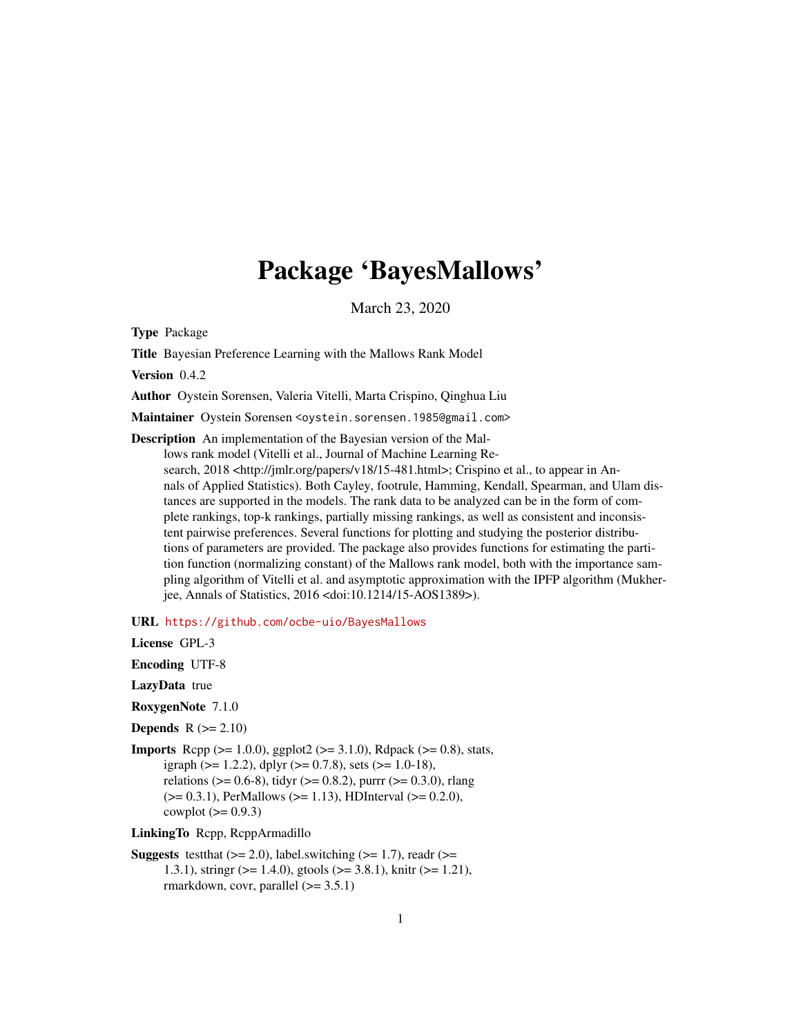# Package 'BayesMallows'

March 23, 2020

<span id="page-0-0"></span>Type Package

Title Bayesian Preference Learning with the Mallows Rank Model

Version 0.4.2

Author Oystein Sorensen, Valeria Vitelli, Marta Crispino, Qinghua Liu

Maintainer Oystein Sorensen <oystein.sorensen.1985@gmail.com>

Description An implementation of the Bayesian version of the Mallows rank model (Vitelli et al., Journal of Machine Learning Research, 2018 <http://jmlr.org/papers/v18/15-481.html>; Crispino et al., to appear in Annals of Applied Statistics). Both Cayley, footrule, Hamming, Kendall, Spearman, and Ulam distances are supported in the models. The rank data to be analyzed can be in the form of complete rankings, top-k rankings, partially missing rankings, as well as consistent and inconsistent pairwise preferences. Several functions for plotting and studying the posterior distributions of parameters are provided. The package also provides functions for estimating the partition function (normalizing constant) of the Mallows rank model, both with the importance sampling algorithm of Vitelli et al. and asymptotic approximation with the IPFP algorithm (Mukherjee, Annals of Statistics, 2016 <doi:10.1214/15-AOS1389>).

URL <https://github.com/ocbe-uio/BayesMallows>

License GPL-3

Encoding UTF-8

LazyData true

RoxygenNote 7.1.0

**Depends**  $R$  ( $>= 2.10$ )

**Imports** Rcpp ( $>= 1.0.0$ ), ggplot2 ( $>= 3.1.0$ ), Rdpack ( $>= 0.8$ ), stats, igraph ( $> = 1.2.2$ ), dplyr ( $> = 0.7.8$ ), sets ( $> = 1.0-18$ ), relations ( $> = 0.6-8$ ), tidyr ( $> = 0.8.2$ ), purrr ( $> = 0.3.0$ ), rlang  $(>= 0.3.1)$ , PerMallows  $(>= 1.13)$ , HDInterval  $(>= 0.2.0)$ , cowplot  $(>= 0.9.3)$ 

LinkingTo Rcpp, RcppArmadillo

**Suggests** test that  $(>= 2.0)$ , label.switching  $(>= 1.7)$ , readr  $(>= 1.7)$ 1.3.1), stringr (>= 1.4.0), gtools (>= 3.8.1), knitr (>= 1.21), rmarkdown, covr, parallel  $(>= 3.5.1)$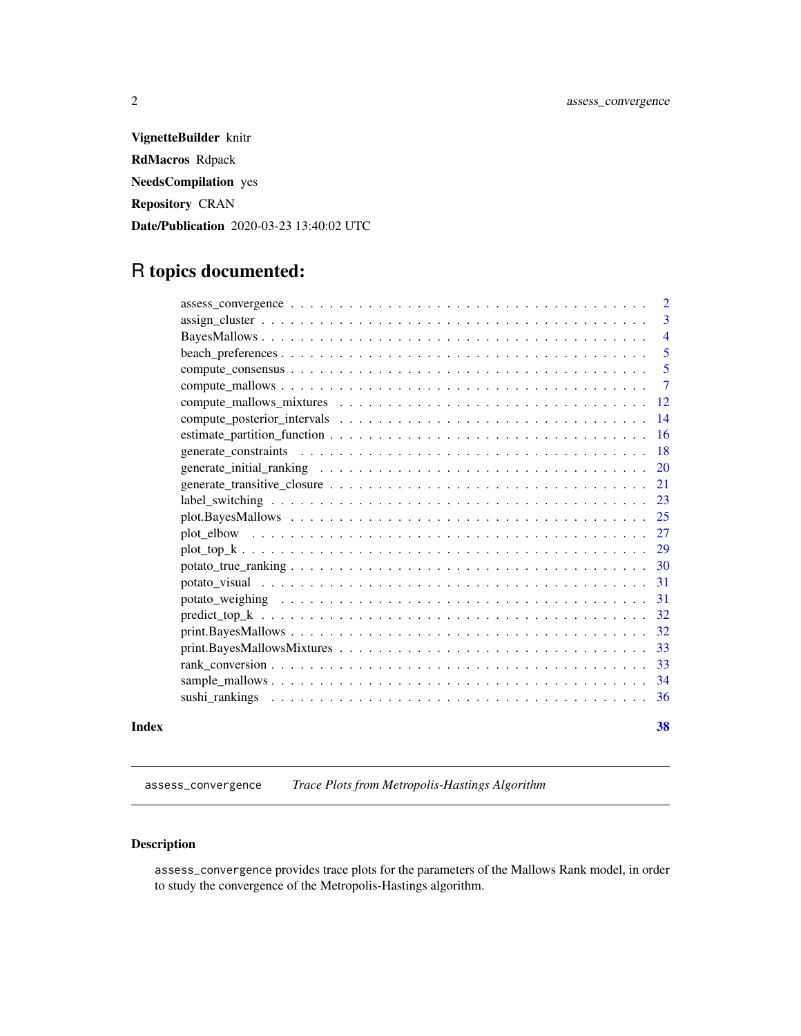<span id="page-1-0"></span>VignetteBuilder knitr RdMacros Rdpack NeedsCompilation yes Repository CRAN Date/Publication 2020-03-23 13:40:02 UTC

# R topics documented:

| Index | 38              |
|-------|-----------------|
|       |                 |
|       | - 34            |
|       | -33             |
|       | -33             |
|       | -32             |
|       |                 |
|       | 31              |
|       | -31             |
|       |                 |
|       |                 |
|       |                 |
|       | 25              |
|       |                 |
|       | 21              |
|       | <b>20</b>       |
|       |                 |
|       | <sup>16</sup>   |
|       | $\overline{14}$ |
|       | -12             |
|       | $\overline{7}$  |
|       | 5               |
|       | 5               |
|       | $\overline{4}$  |
|       | 3               |
|       | <sup>2</sup>    |

<span id="page-1-1"></span>assess\_convergence *Trace Plots from Metropolis-Hastings Algorithm*

#### Description

assess\_convergence provides trace plots for the parameters of the Mallows Rank model, in order to study the convergence of the Metropolis-Hastings algorithm.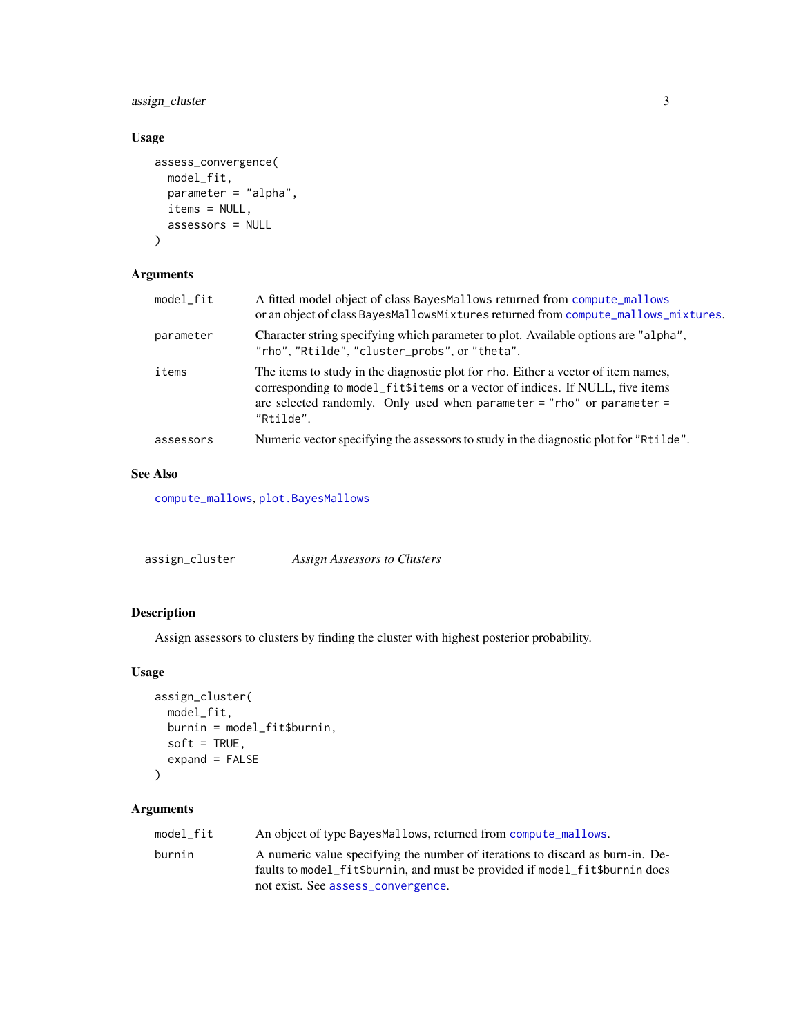<span id="page-2-0"></span>assign\_cluster 3

#### Usage

```
assess_convergence(
  model_fit,
  parameter = "alpha",
  items = NULL,
  assessors = NULL
\mathcal{L}
```
### Arguments

| model_fit | A fitted model object of class BayesMallows returned from compute_mallows<br>or an object of class BayesMallowsMixtures returned from compute_mallows_mixtures.                                                                                           |
|-----------|-----------------------------------------------------------------------------------------------------------------------------------------------------------------------------------------------------------------------------------------------------------|
| parameter | Character string specifying which parameter to plot. Available options are "alpha",<br>"rho", "Rtilde", "cluster_probs", or "theta".                                                                                                                      |
| items     | The items to study in the diagnostic plot for rho. Either a vector of item names,<br>corresponding to model_fit\$items or a vector of indices. If NULL, five items<br>are selected randomly. Only used when parameter = "rho" or parameter =<br>"Rtilde". |
| assessors | Numeric vector specifying the assessors to study in the diagnostic plot for "Rtilde".                                                                                                                                                                     |

#### See Also

[compute\\_mallows](#page-6-1), [plot.BayesMallows](#page-24-1)

| assign_cluster | Assign Assessors to Clusters |
|----------------|------------------------------|
|----------------|------------------------------|

### Description

Assign assessors to clusters by finding the cluster with highest posterior probability.

#### Usage

```
assign_cluster(
 model_fit,
 burnin = model_fit$burnin,
 soft = TRUE,expand = FALSE)
```
#### Arguments

| model fit | An object of type BayesMallows, returned from compute_mallows.                                                                                                                                      |
|-----------|-----------------------------------------------------------------------------------------------------------------------------------------------------------------------------------------------------|
| burnin    | A numeric value specifying the number of iterations to discard as burn-in. De-<br>faults to model fit\$burnin, and must be provided if model fit\$burnin does<br>not exist. See assess_convergence. |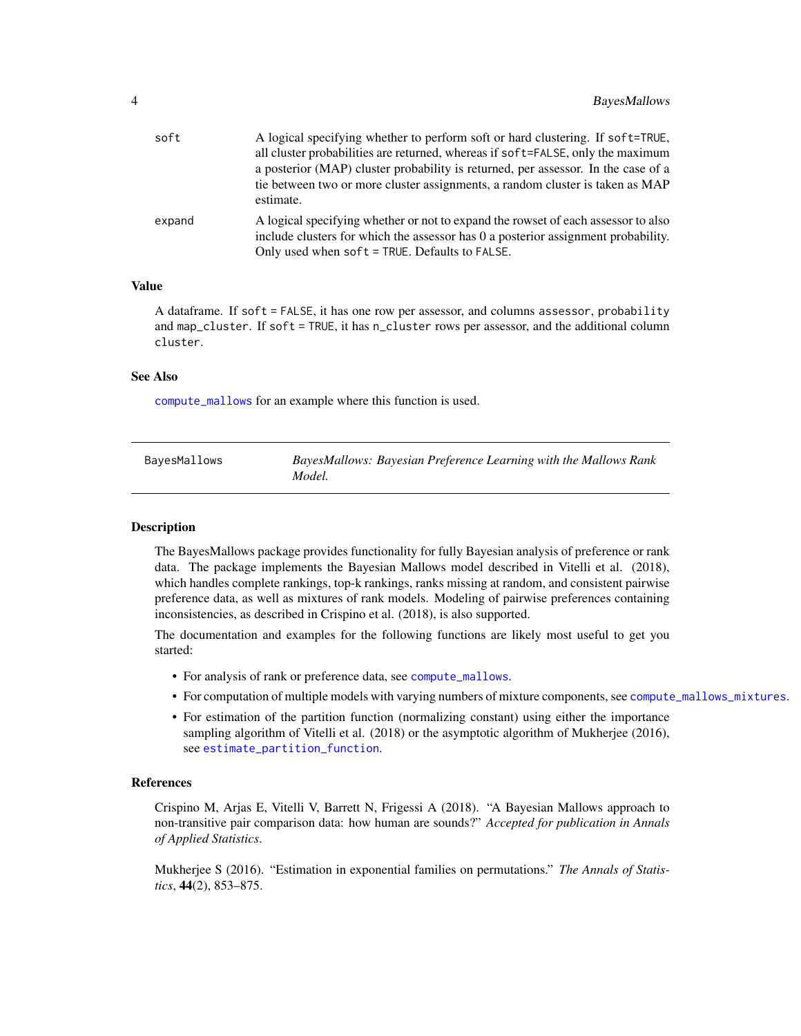<span id="page-3-0"></span>

| A logical specifying whether to perform soft or hard clustering. If soft=TRUE,                                                                                                                                           |
|--------------------------------------------------------------------------------------------------------------------------------------------------------------------------------------------------------------------------|
| all cluster probabilities are returned, whereas if soft=FALSE, only the maximum                                                                                                                                          |
| a posterior (MAP) cluster probability is returned, per assessor. In the case of a                                                                                                                                        |
| tie between two or more cluster assignments, a random cluster is taken as MAP<br>estimate.                                                                                                                               |
| A logical specifying whether or not to expand the rowset of each assessor to also<br>include clusters for which the assessor has 0 a posterior assignment probability.<br>Only used when soft = TRUE. Defaults to FALSE. |
|                                                                                                                                                                                                                          |

#### Value

A dataframe. If soft = FALSE, it has one row per assessor, and columns assessor, probability and map\_cluster. If soft = TRUE, it has n\_cluster rows per assessor, and the additional column cluster.

#### See Also

[compute\\_mallows](#page-6-1) for an example where this function is used.

| BayesMallows | BayesMallows: Bayesian Preference Learning with the Mallows Rank |
|--------------|------------------------------------------------------------------|
|              | Model.                                                           |

#### Description

The BayesMallows package provides functionality for fully Bayesian analysis of preference or rank data. The package implements the Bayesian Mallows model described in Vitelli et al. (2018), which handles complete rankings, top-k rankings, ranks missing at random, and consistent pairwise preference data, as well as mixtures of rank models. Modeling of pairwise preferences containing inconsistencies, as described in Crispino et al. (2018), is also supported.

The documentation and examples for the following functions are likely most useful to get you started:

- For analysis of rank or preference data, see [compute\\_mallows](#page-6-1).
- For computation of multiple models with varying numbers of mixture components, see [compute\\_mallows\\_mixtures](#page-11-1).
- For estimation of the partition function (normalizing constant) using either the importance sampling algorithm of Vitelli et al. (2018) or the asymptotic algorithm of Mukherjee (2016), see [estimate\\_partition\\_function](#page-15-1).

#### References

Crispino M, Arjas E, Vitelli V, Barrett N, Frigessi A (2018). "A Bayesian Mallows approach to non-transitive pair comparison data: how human are sounds?" *Accepted for publication in Annals of Applied Statistics*.

Mukherjee S (2016). "Estimation in exponential families on permutations." *The Annals of Statistics*, 44(2), 853–875.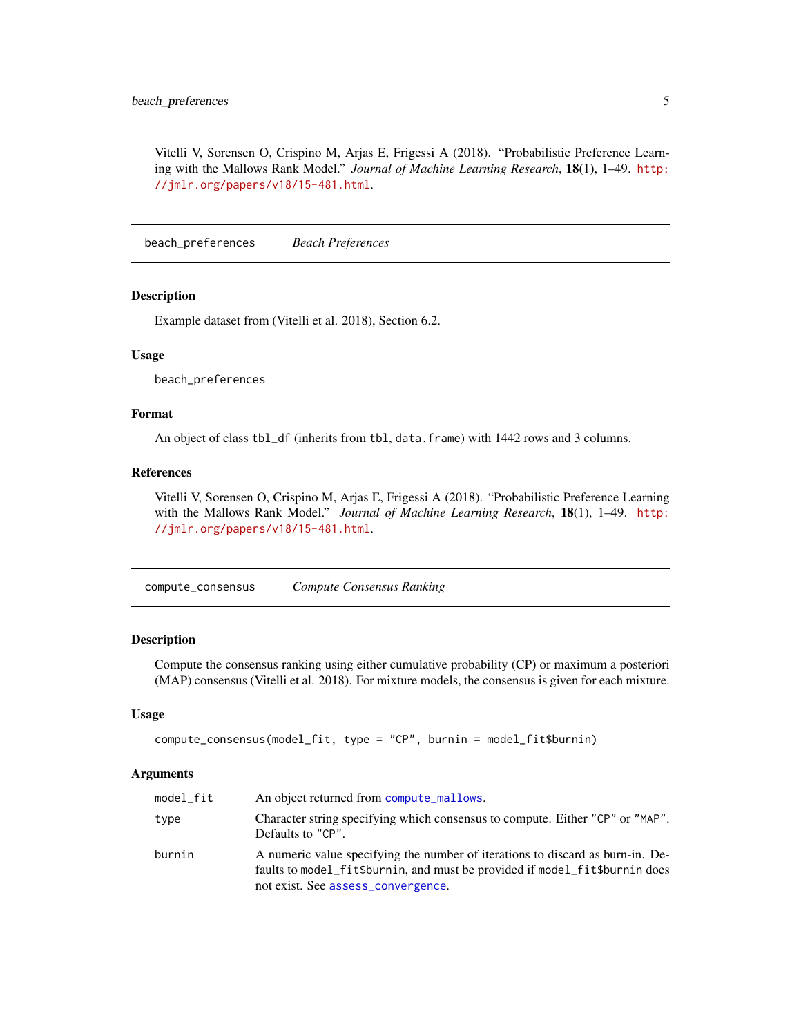<span id="page-4-0"></span>Vitelli V, Sorensen O, Crispino M, Arjas E, Frigessi A (2018). "Probabilistic Preference Learning with the Mallows Rank Model." *Journal of Machine Learning Research*, 18(1), 1–49. [http:](http://jmlr.org/papers/v18/15-481.html) [//jmlr.org/papers/v18/15-481.html](http://jmlr.org/papers/v18/15-481.html).

beach\_preferences *Beach Preferences*

#### **Description**

Example dataset from (Vitelli et al. 2018), Section 6.2.

#### Usage

beach\_preferences

#### Format

An object of class tbl\_df (inherits from tbl, data.frame) with 1442 rows and 3 columns.

#### References

Vitelli V, Sorensen O, Crispino M, Arjas E, Frigessi A (2018). "Probabilistic Preference Learning with the Mallows Rank Model." *Journal of Machine Learning Research*, 18(1), 1–49. [http:](http://jmlr.org/papers/v18/15-481.html) [//jmlr.org/papers/v18/15-481.html](http://jmlr.org/papers/v18/15-481.html).

compute\_consensus *Compute Consensus Ranking*

#### Description

Compute the consensus ranking using either cumulative probability (CP) or maximum a posteriori (MAP) consensus (Vitelli et al. 2018). For mixture models, the consensus is given for each mixture.

#### Usage

```
compute_consensus(model_fit, type = "CP", burnin = model_fit$burnin)
```
#### Arguments

| model_fit | An object returned from compute_mallows.                                                                                                                                                            |
|-----------|-----------------------------------------------------------------------------------------------------------------------------------------------------------------------------------------------------|
| type      | Character string specifying which consensus to compute. Either "CP" or "MAP".<br>Defaults to "CP".                                                                                                  |
| burnin    | A numeric value specifying the number of iterations to discard as burn-in. De-<br>faults to model_fit\$burnin, and must be provided if model_fit\$burnin does<br>not exist. See assess_convergence. |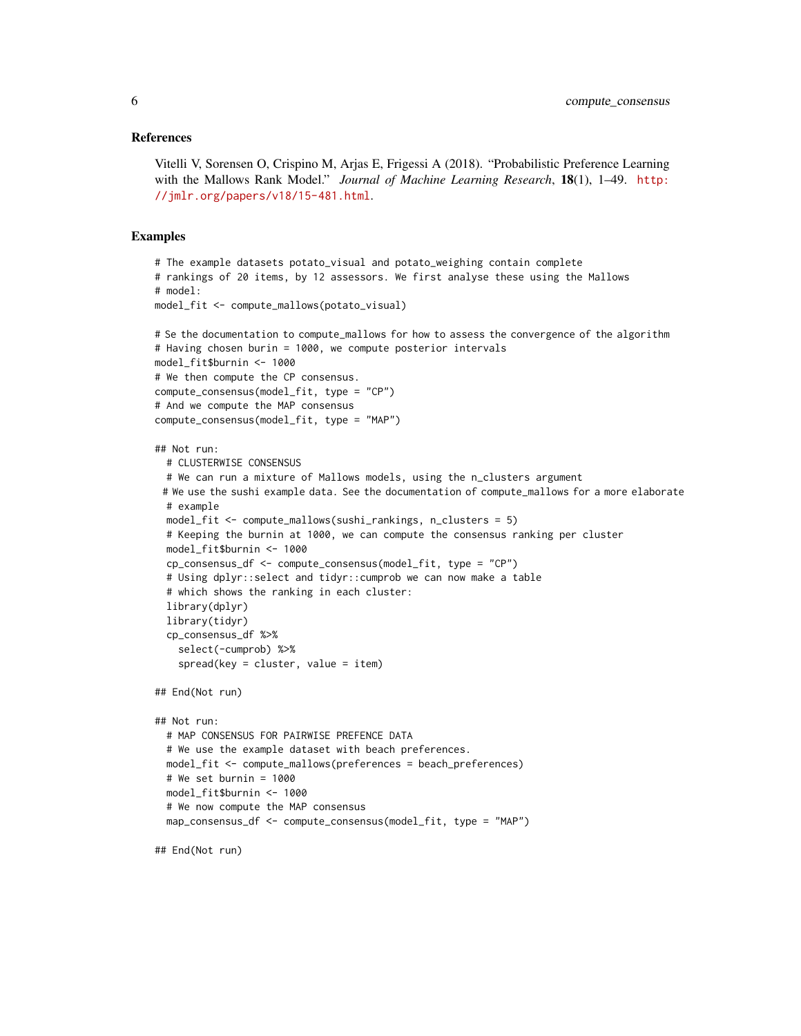#### References

Vitelli V, Sorensen O, Crispino M, Arjas E, Frigessi A (2018). "Probabilistic Preference Learning with the Mallows Rank Model." *Journal of Machine Learning Research*, 18(1), 1–49. [http:](http://jmlr.org/papers/v18/15-481.html) [//jmlr.org/papers/v18/15-481.html](http://jmlr.org/papers/v18/15-481.html).

```
# The example datasets potato_visual and potato_weighing contain complete
# rankings of 20 items, by 12 assessors. We first analyse these using the Mallows
# model:
model_fit <- compute_mallows(potato_visual)
# Se the documentation to compute_mallows for how to assess the convergence of the algorithm
# Having chosen burin = 1000, we compute posterior intervals
model_fit$burnin <- 1000
# We then compute the CP consensus.
compute_consensus(model_fit, type = "CP")
# And we compute the MAP consensus
compute_consensus(model_fit, type = "MAP")
## Not run:
  # CLUSTERWISE CONSENSUS
  # We can run a mixture of Mallows models, using the n_clusters argument
 # We use the sushi example data. See the documentation of compute_mallows for a more elaborate
  # example
  model_fit <- compute_mallows(sushi_rankings, n_clusters = 5)
  # Keeping the burnin at 1000, we can compute the consensus ranking per cluster
  model_fit$burnin <- 1000
  cp_consensus_df <- compute_consensus(model_fit, type = "CP")
  # Using dplyr::select and tidyr::cumprob we can now make a table
  # which shows the ranking in each cluster:
  library(dplyr)
  library(tidyr)
  cp_consensus_df %>%
    select(-cumprob) %>%
    spread(key = cluster, value = item)## End(Not run)
## Not run:
  # MAP CONSENSUS FOR PAIRWISE PREFENCE DATA
  # We use the example dataset with beach preferences.
  model_fit <- compute_mallows(preferences = beach_preferences)
  # We set burnin = 1000
  model_fit$burnin <- 1000
  # We now compute the MAP consensus
  map_consensus_df <- compute_consensus(model_fit, type = "MAP")
## End(Not run)
```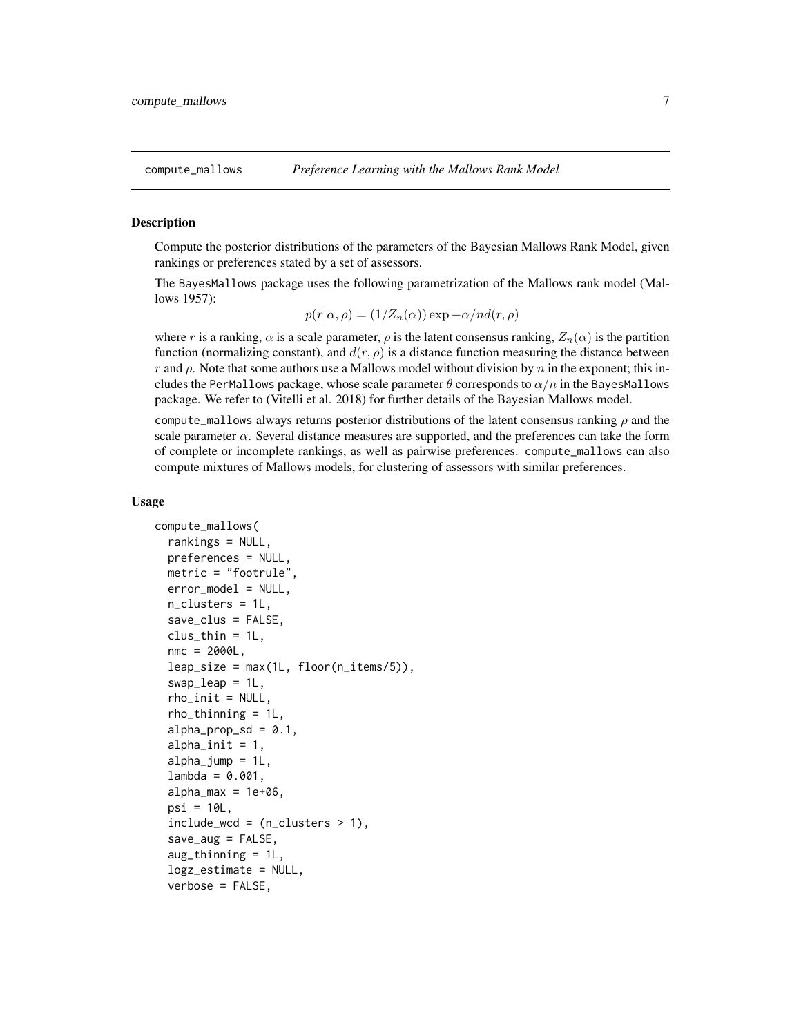<span id="page-6-1"></span><span id="page-6-0"></span>

#### Description

Compute the posterior distributions of the parameters of the Bayesian Mallows Rank Model, given rankings or preferences stated by a set of assessors.

The BayesMallows package uses the following parametrization of the Mallows rank model (Mallows 1957):

$$
p(r|\alpha, \rho) = (1/Z_n(\alpha)) \exp{-\alpha/nd(r, \rho)}
$$

where r is a ranking,  $\alpha$  is a scale parameter,  $\rho$  is the latent consensus ranking,  $Z_n(\alpha)$  is the partition function (normalizing constant), and  $d(r, \rho)$  is a distance function measuring the distance between r and  $\rho$ . Note that some authors use a Mallows model without division by n in the exponent; this includes the PerMallows package, whose scale parameter  $\theta$  corresponds to  $\alpha/n$  in the BayesMallows package. We refer to (Vitelli et al. 2018) for further details of the Bayesian Mallows model.

compute\_mallows always returns posterior distributions of the latent consensus ranking  $\rho$  and the scale parameter  $\alpha$ . Several distance measures are supported, and the preferences can take the form of complete or incomplete rankings, as well as pairwise preferences. compute\_mallows can also compute mixtures of Mallows models, for clustering of assessors with similar preferences.

#### Usage

```
compute_mallows(
  rankings = NULL,
 preferences = NULL,
 metric = "footrule",
  error_model = NULL,
  n_clusters = 1L,
  save_clus = FALSE,
  clus_thin = 1L,
  nmc = 2000L,
  leap\_size = max(1L, floor(n\_items/5)),swap = 1L,
  rho_init = NULL,
  rho_tthinning = 1L,
  alpha\_prop\_sd = 0.1,
  alphainit = 1,
  alpha_jump = 1L,
  lambda = 0.001,
  alpha_{max} = 1e+06,
  psi = 10L,
  include\_wcd = (n_clusters > 1),save_aug = FALSE,
  aug_thinning = 1L,
  logz_estimate = NULL,
  verbose = FALSE,
```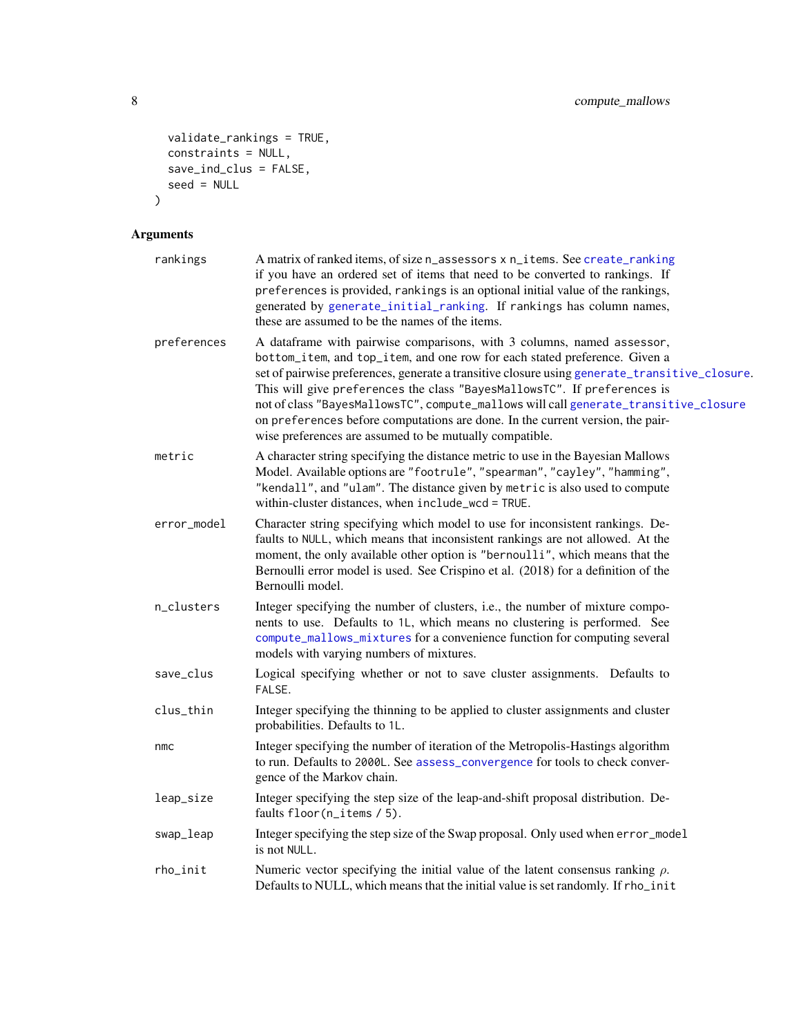```
validate_rankings = TRUE,
  constraints = NULL,
 save\_ind\_clus = FALSE,seed = NULL
\mathcal{L}
```
## Arguments

| rankings    | A matrix of ranked items, of size n_assessors x n_items. See create_ranking<br>if you have an ordered set of items that need to be converted to rankings. If<br>preferences is provided, rankings is an optional initial value of the rankings,<br>generated by generate_initial_ranking. If rankings has column names,<br>these are assumed to be the names of the items.                                                                                                                                                                                             |
|-------------|------------------------------------------------------------------------------------------------------------------------------------------------------------------------------------------------------------------------------------------------------------------------------------------------------------------------------------------------------------------------------------------------------------------------------------------------------------------------------------------------------------------------------------------------------------------------|
| preferences | A dataframe with pairwise comparisons, with 3 columns, named assessor,<br>bottom_item, and top_item, and one row for each stated preference. Given a<br>set of pairwise preferences, generate a transitive closure using generate_transitive_closure.<br>This will give preferences the class "BayesMallowsTC". If preferences is<br>not of class "BayesMallowsTC", compute_mallows will call generate_transitive_closure<br>on preferences before computations are done. In the current version, the pair-<br>wise preferences are assumed to be mutually compatible. |
| metric      | A character string specifying the distance metric to use in the Bayesian Mallows<br>Model. Available options are "footrule", "spearman", "cayley", "hamming",<br>"kendall", and "ulam". The distance given by metric is also used to compute<br>within-cluster distances, when include_wcd = TRUE.                                                                                                                                                                                                                                                                     |
| error_model | Character string specifying which model to use for inconsistent rankings. De-<br>faults to NULL, which means that inconsistent rankings are not allowed. At the<br>moment, the only available other option is "bernoulli", which means that the<br>Bernoulli error model is used. See Crispino et al. (2018) for a definition of the<br>Bernoulli model.                                                                                                                                                                                                               |
| n_clusters  | Integer specifying the number of clusters, i.e., the number of mixture compo-<br>nents to use. Defaults to 1L, which means no clustering is performed. See<br>compute_mallows_mixtures for a convenience function for computing several<br>models with varying numbers of mixtures.                                                                                                                                                                                                                                                                                    |
| save_clus   | Logical specifying whether or not to save cluster assignments. Defaults to<br>FALSE.                                                                                                                                                                                                                                                                                                                                                                                                                                                                                   |
| clus_thin   | Integer specifying the thinning to be applied to cluster assignments and cluster<br>probabilities. Defaults to 1L.                                                                                                                                                                                                                                                                                                                                                                                                                                                     |
| nmc         | Integer specifying the number of iteration of the Metropolis-Hastings algorithm<br>to run. Defaults to 2000L. See assess_convergence for tools to check conver-<br>gence of the Markov chain.                                                                                                                                                                                                                                                                                                                                                                          |
| leap_size   | Integer specifying the step size of the leap-and-shift proposal distribution. De-<br>faults floor(n_items / 5).                                                                                                                                                                                                                                                                                                                                                                                                                                                        |
| swap_leap   | Integer specifying the step size of the Swap proposal. Only used when error_model<br>is not NULL.                                                                                                                                                                                                                                                                                                                                                                                                                                                                      |
| rho_init    | Numeric vector specifying the initial value of the latent consensus ranking $\rho$ .<br>Defaults to NULL, which means that the initial value is set randomly. If rho_init                                                                                                                                                                                                                                                                                                                                                                                              |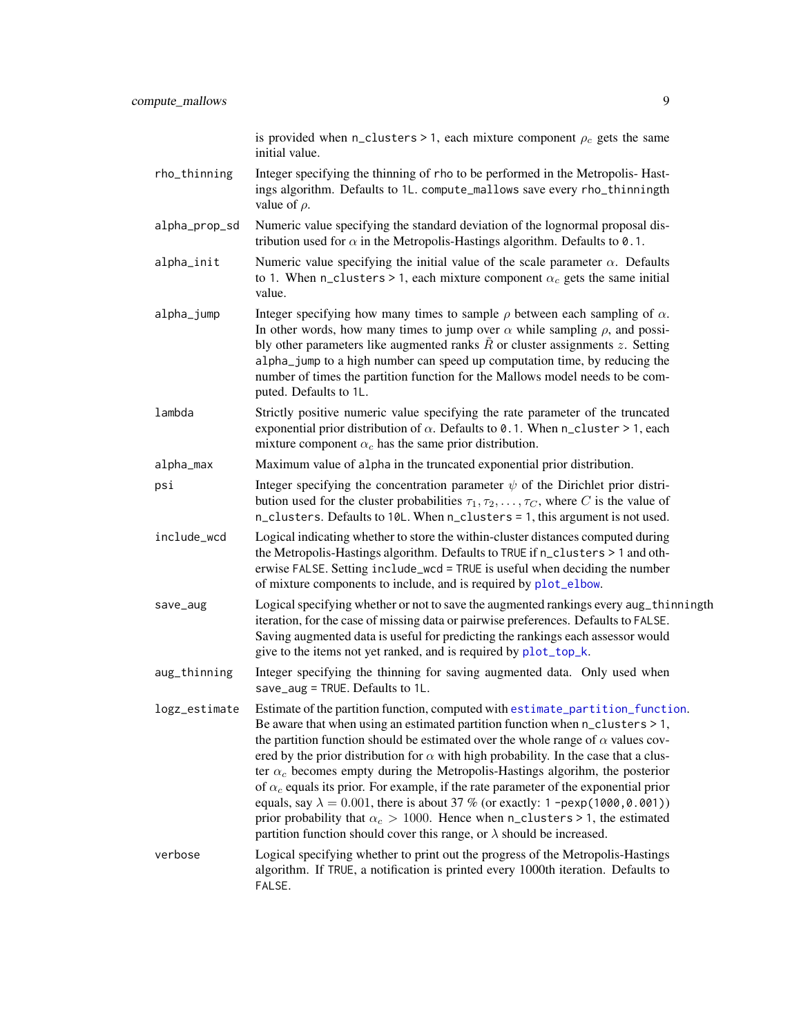is provided when n\_clusters > 1, each mixture component  $\rho_c$  gets the same initial value.

- <span id="page-8-0"></span>rho\_thinning Integer specifying the thinning of rho to be performed in the Metropolis- Hastings algorithm. Defaults to 1L. compute\_mallows save every rho\_thinningth value of  $\rho$ .
- alpha\_prop\_sd Numeric value specifying the standard deviation of the lognormal proposal distribution used for  $\alpha$  in the Metropolis-Hastings algorithm. Defaults to 0.1.
- alpha<sub>l</sub>init Numeric value specifying the initial value of the scale parameter  $\alpha$ . Defaults to 1. When n\_clusters > 1, each mixture component  $\alpha_c$  gets the same initial value.
- alpha<sub>l</sub> iump Integer specifying how many times to sample  $\rho$  between each sampling of  $\alpha$ . In other words, how many times to jump over  $\alpha$  while sampling  $\rho$ , and possibly other parameters like augmented ranks  $\hat{R}$  or cluster assignments z. Setting alpha\_jump to a high number can speed up computation time, by reducing the number of times the partition function for the Mallows model needs to be computed. Defaults to 1L.
- lambda Strictly positive numeric value specifying the rate parameter of the truncated exponential prior distribution of  $\alpha$ . Defaults to 0.1. When n\_cluster > 1, each mixture component  $\alpha_c$  has the same prior distribution.
- alpha\_max Maximum value of alpha in the truncated exponential prior distribution.
- psi Integer specifying the concentration parameter  $\psi$  of the Dirichlet prior distribution used for the cluster probabilities  $\tau_1, \tau_2, \ldots, \tau_C$ , where C is the value of n\_clusters. Defaults to 10L. When n\_clusters = 1, this argument is not used.
- include\_wcd Logical indicating whether to store the within-cluster distances computed during the Metropolis-Hastings algorithm. Defaults to TRUE if n\_clusters > 1 and otherwise FALSE. Setting include\_wcd = TRUE is useful when deciding the number of mixture components to include, and is required by [plot\\_elbow](#page-26-1).
- save\_aug Logical specifying whether or not to save the augmented rankings every aug\_thinningth iteration, for the case of missing data or pairwise preferences. Defaults to FALSE. Saving augmented data is useful for predicting the rankings each assessor would give to the items not yet ranked, and is required by [plot\\_top\\_k](#page-28-1).
- aug\_thinning Integer specifying the thinning for saving augmented data. Only used when save\_aug = TRUE. Defaults to 1L.

logz\_estimate Estimate of the partition function, computed with [estimate\\_partition\\_function](#page-15-1). Be aware that when using an estimated partition function when  $n$  clusters  $> 1$ , the partition function should be estimated over the whole range of  $\alpha$  values covered by the prior distribution for  $\alpha$  with high probability. In the case that a cluster  $\alpha_c$  becomes empty during the Metropolis-Hastings algorihm, the posterior of  $\alpha_c$  equals its prior. For example, if the rate parameter of the exponential prior equals, say  $\lambda = 0.001$ , there is about 37 % (or exactly: 1 -pexp(1000,0.001)) prior probability that  $\alpha_c > 1000$ . Hence when n\_clusters > 1, the estimated partition function should cover this range, or  $\lambda$  should be increased.

verbose Logical specifying whether to print out the progress of the Metropolis-Hastings algorithm. If TRUE, a notification is printed every 1000th iteration. Defaults to FALSE.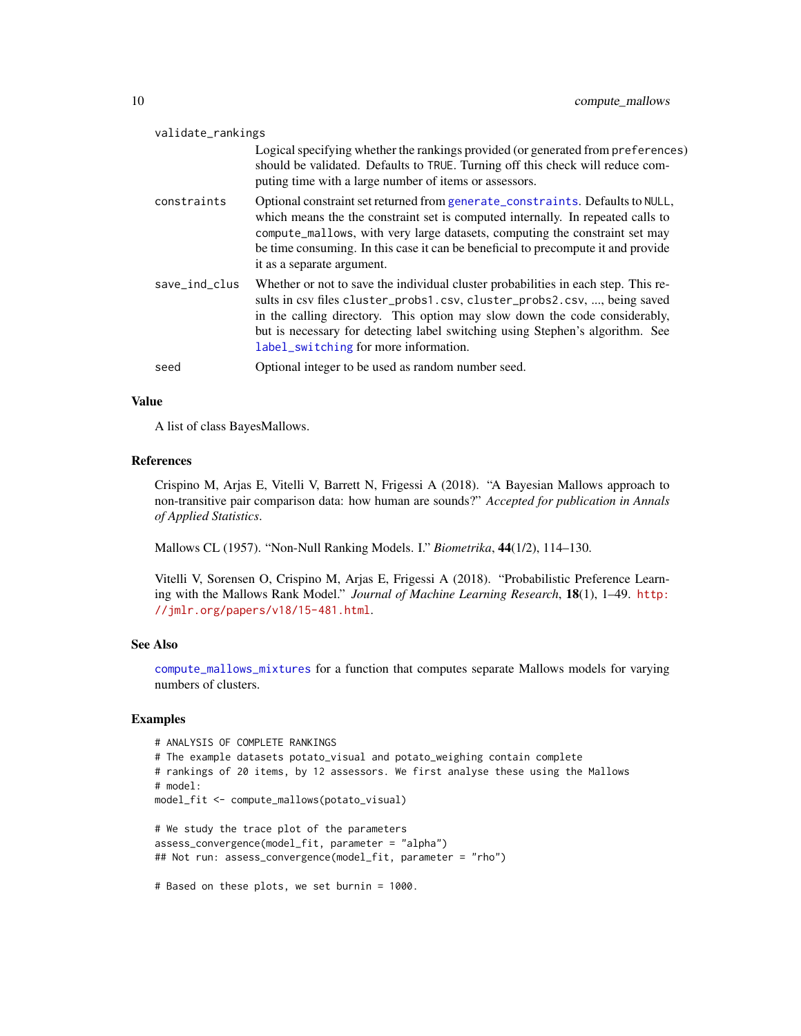<span id="page-9-0"></span>

| validate_rankings |                                                                                                                                                                                                                                                                                                                                                                        |
|-------------------|------------------------------------------------------------------------------------------------------------------------------------------------------------------------------------------------------------------------------------------------------------------------------------------------------------------------------------------------------------------------|
|                   | Logical specifying whether the rankings provided (or generated from preferences)<br>should be validated. Defaults to TRUE. Turning off this check will reduce com-<br>puting time with a large number of items or assessors.                                                                                                                                           |
| constraints       | Optional constraint set returned from generate_constraints. Defaults to NULL,<br>which means the the constraint set is computed internally. In repeated calls to<br>compute_mallows, with very large datasets, computing the constraint set may<br>be time consuming. In this case it can be beneficial to precompute it and provide<br>it as a separate argument.     |
| save_ind_clus     | Whether or not to save the individual cluster probabilities in each step. This re-<br>sults in csv files cluster_probs1.csv, cluster_probs2.csv, , being saved<br>in the calling directory. This option may slow down the code considerably,<br>but is necessary for detecting label switching using Stephen's algorithm. See<br>label_switching for more information. |
| seed              | Optional integer to be used as random number seed.                                                                                                                                                                                                                                                                                                                     |

#### Value

A list of class BayesMallows.

#### References

Crispino M, Arjas E, Vitelli V, Barrett N, Frigessi A (2018). "A Bayesian Mallows approach to non-transitive pair comparison data: how human are sounds?" *Accepted for publication in Annals of Applied Statistics*.

Mallows CL (1957). "Non-Null Ranking Models. I." *Biometrika*, 44(1/2), 114–130.

Vitelli V, Sorensen O, Crispino M, Arjas E, Frigessi A (2018). "Probabilistic Preference Learning with the Mallows Rank Model." *Journal of Machine Learning Research*, 18(1), 1–49. [http:](http://jmlr.org/papers/v18/15-481.html) [//jmlr.org/papers/v18/15-481.html](http://jmlr.org/papers/v18/15-481.html).

#### See Also

[compute\\_mallows\\_mixtures](#page-11-1) for a function that computes separate Mallows models for varying numbers of clusters.

```
# ANALYSIS OF COMPLETE RANKINGS
# The example datasets potato_visual and potato_weighing contain complete
# rankings of 20 items, by 12 assessors. We first analyse these using the Mallows
# model:
model_fit <- compute_mallows(potato_visual)
# We study the trace plot of the parameters
assess_convergence(model_fit, parameter = "alpha")
## Not run: assess_convergence(model_fit, parameter = "rho")
```

```
# Based on these plots, we set burnin = 1000.
```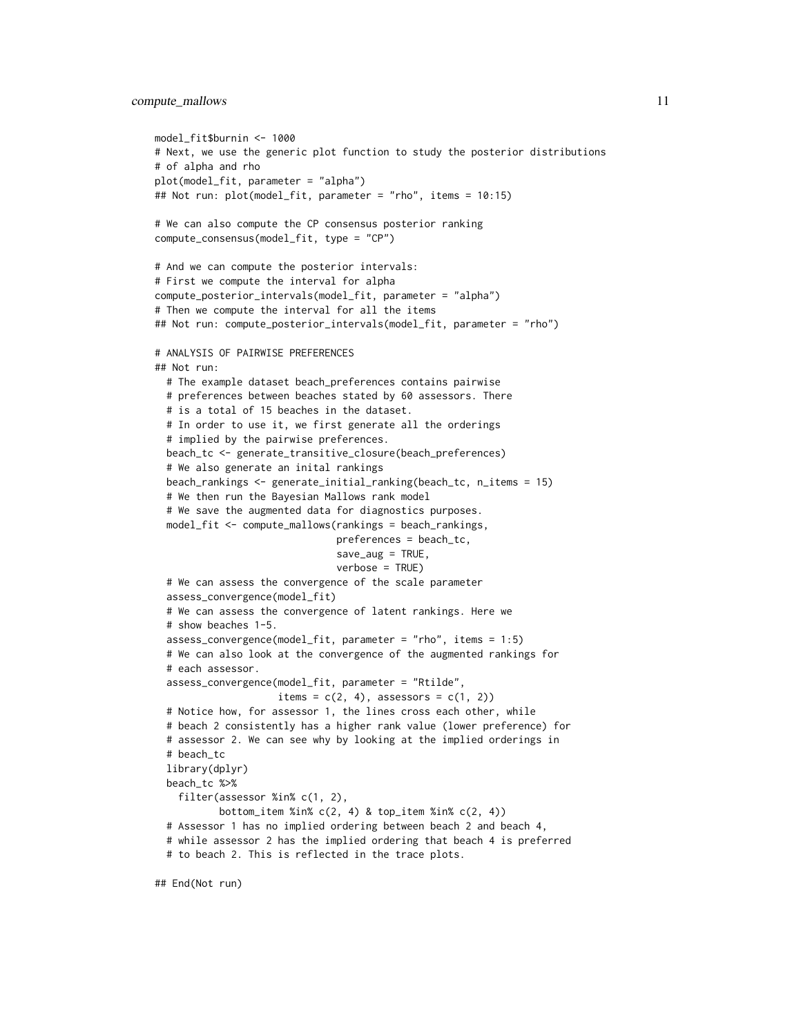```
model_fit$burnin <- 1000
# Next, we use the generic plot function to study the posterior distributions
# of alpha and rho
plot(model_fit, parameter = "alpha")
## Not run: plot(model_fit, parameter = "rho", items = 10:15)
# We can also compute the CP consensus posterior ranking
compute_consensus(model_fit, type = "CP")
# And we can compute the posterior intervals:
# First we compute the interval for alpha
compute_posterior_intervals(model_fit, parameter = "alpha")
# Then we compute the interval for all the items
## Not run: compute_posterior_intervals(model_fit, parameter = "rho")
# ANALYSIS OF PAIRWISE PREFERENCES
## Not run:
 # The example dataset beach_preferences contains pairwise
 # preferences between beaches stated by 60 assessors. There
 # is a total of 15 beaches in the dataset.
 # In order to use it, we first generate all the orderings
  # implied by the pairwise preferences.
 beach_tc <- generate_transitive_closure(beach_preferences)
 # We also generate an inital rankings
 beach_rankings <- generate_initial_ranking(beach_tc, n_items = 15)
 # We then run the Bayesian Mallows rank model
 # We save the augmented data for diagnostics purposes.
 model_fit <- compute_mallows(rankings = beach_rankings,
                               preferences = beach_tc,
                               save_aug = TRUE,verbose = TRUE)
 # We can assess the convergence of the scale parameter
 assess_convergence(model_fit)
 # We can assess the convergence of latent rankings. Here we
 # show beaches 1-5.
 assess_convergence(model_fit, parameter = "rho", items = 1:5)
 # We can also look at the convergence of the augmented rankings for
  # each assessor.
 assess_convergence(model_fit, parameter = "Rtilde",
                     items = c(2, 4), assessors = c(1, 2))
 # Notice how, for assessor 1, the lines cross each other, while
 # beach 2 consistently has a higher rank value (lower preference) for
 # assessor 2. We can see why by looking at the implied orderings in
 # beach_tc
 library(dplyr)
 beach_tc %>%
    filter(assessor %in% c(1, 2),
           bottom_item %in% c(2, 4) & top_item %in% c(2, 4))
 # Assessor 1 has no implied ordering between beach 2 and beach 4,
  # while assessor 2 has the implied ordering that beach 4 is preferred
 # to beach 2. This is reflected in the trace plots.
```
## End(Not run)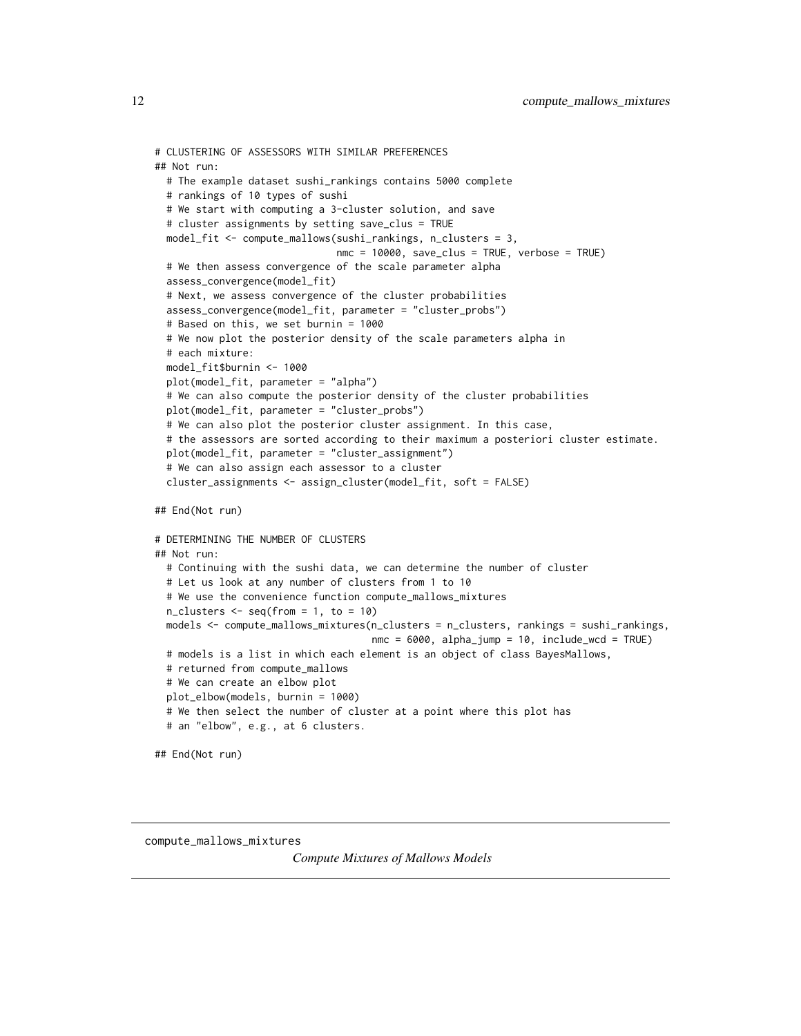```
# CLUSTERING OF ASSESSORS WITH SIMILAR PREFERENCES
## Not run:
 # The example dataset sushi_rankings contains 5000 complete
 # rankings of 10 types of sushi
 # We start with computing a 3-cluster solution, and save
 # cluster assignments by setting save_clus = TRUE
 model_fit <- compute_mallows(sushi_rankings, n_clusters = 3,
                               nmc = 10000, save_clus = TRUE, verbose = TRUE)
 # We then assess convergence of the scale parameter alpha
 assess_convergence(model_fit)
 # Next, we assess convergence of the cluster probabilities
 assess_convergence(model_fit, parameter = "cluster_probs")
 # Based on this, we set burnin = 1000
 # We now plot the posterior density of the scale parameters alpha in
 # each mixture:
 model_fit$burnin <- 1000
 plot(model_fit, parameter = "alpha")
 # We can also compute the posterior density of the cluster probabilities
 plot(model_fit, parameter = "cluster_probs")
 # We can also plot the posterior cluster assignment. In this case,
 # the assessors are sorted according to their maximum a posteriori cluster estimate.
 plot(model_fit, parameter = "cluster_assignment")
 # We can also assign each assessor to a cluster
 cluster_assignments <- assign_cluster(model_fit, soft = FALSE)
## End(Not run)
# DETERMINING THE NUMBER OF CLUSTERS
## Not run:
 # Continuing with the sushi data, we can determine the number of cluster
 # Let us look at any number of clusters from 1 to 10
 # We use the convenience function compute_mallows_mixtures
 n_{\text{clusters}} \leftarrow \text{seq}(\text{from} = 1, \text{to} = 10)models <- compute_mallows_mixtures(n_clusters = n_clusters, rankings = sushi_rankings,
                                     nmc = 6000, alpha_jump = 10, include_wcd = TRUE)
 # models is a list in which each element is an object of class BayesMallows,
 # returned from compute_mallows
 # We can create an elbow plot
 plot_elbow(models, burnin = 1000)
 # We then select the number of cluster at a point where this plot has
 # an "elbow", e.g., at 6 clusters.
## End(Not run)
```
<span id="page-11-1"></span>compute\_mallows\_mixtures

*Compute Mixtures of Mallows Models*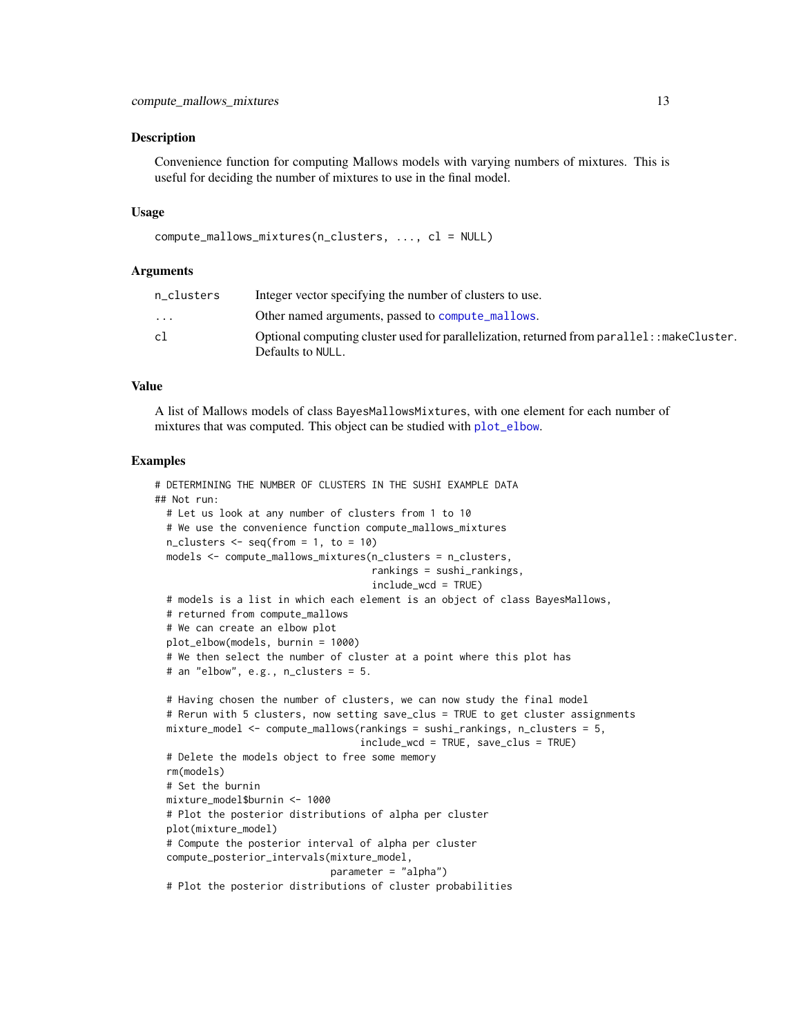#### <span id="page-12-0"></span>**Description**

Convenience function for computing Mallows models with varying numbers of mixtures. This is useful for deciding the number of mixtures to use in the final model.

#### Usage

```
compute_mallows_mixtures(n_clusters, ..., cl = NULL)
```
#### Arguments

| n clusters              | Integer vector specifying the number of clusters to use.                                                         |
|-------------------------|------------------------------------------------------------------------------------------------------------------|
| $\cdot$ $\cdot$ $\cdot$ | Other named arguments, passed to compute mallows.                                                                |
| cl                      | Optional computing cluster used for parallelization, returned from parallel: : makeCluster.<br>Defaults to NULL. |
|                         |                                                                                                                  |

#### Value

A list of Mallows models of class BayesMallowsMixtures, with one element for each number of mixtures that was computed. This object can be studied with [plot\\_elbow](#page-26-1).

```
# DETERMINING THE NUMBER OF CLUSTERS IN THE SUSHI EXAMPLE DATA
## Not run:
 # Let us look at any number of clusters from 1 to 10
 # We use the convenience function compute_mallows_mixtures
 n-clusters \leq seq(from = 1, to = 10)
 models <- compute_mallows_mixtures(n_clusters = n_clusters,
                                     rankings = sushi_rankings,
                                     include_wcd = TRUE)
 # models is a list in which each element is an object of class BayesMallows,
 # returned from compute_mallows
 # We can create an elbow plot
 plot_elbow(models, burnin = 1000)
 # We then select the number of cluster at a point where this plot has
 # an "elbow", e.g., n_clusters = 5.
 # Having chosen the number of clusters, we can now study the final model
 # Rerun with 5 clusters, now setting save_clus = TRUE to get cluster assignments
 mixture_model <- compute_mallows(rankings = sushi_rankings, n_clusters = 5,
                                   include_wcd = TRUE, save_clus = TRUE)
 # Delete the models object to free some memory
 rm(models)
 # Set the burnin
 mixture_model$burnin <- 1000
 # Plot the posterior distributions of alpha per cluster
 plot(mixture_model)
 # Compute the posterior interval of alpha per cluster
 compute_posterior_intervals(mixture_model,
                             parameter = "alpha")
 # Plot the posterior distributions of cluster probabilities
```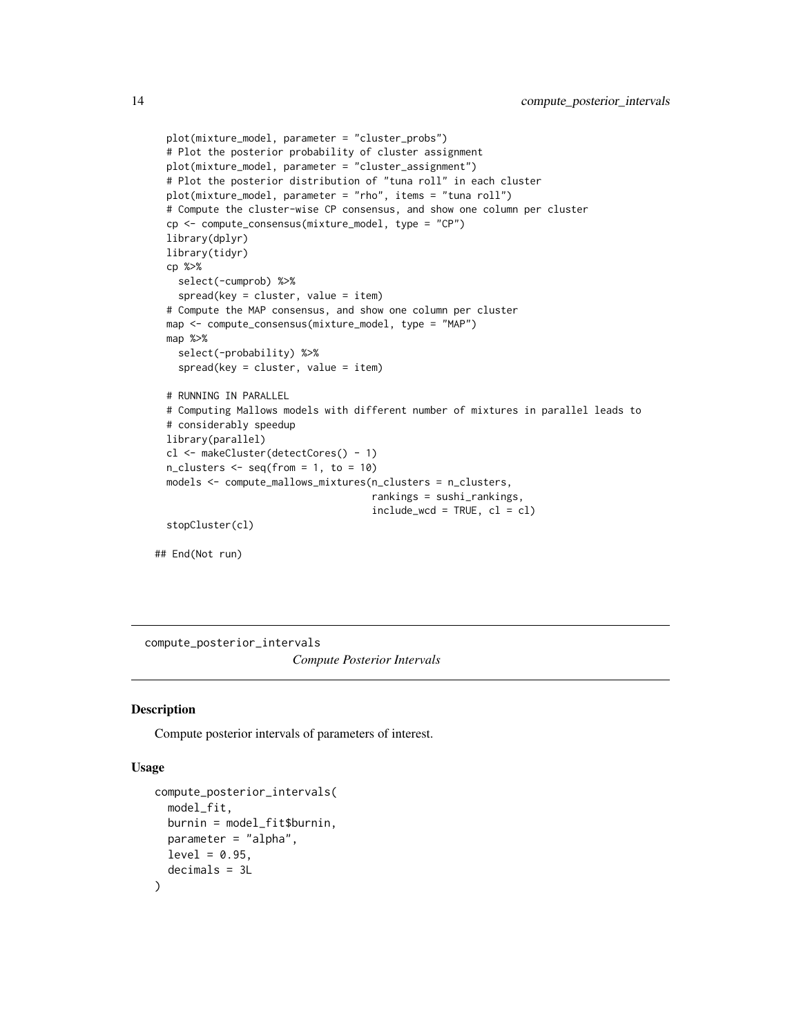```
plot(mixture_model, parameter = "cluster_probs")
  # Plot the posterior probability of cluster assignment
 plot(mixture_model, parameter = "cluster_assignment")
 # Plot the posterior distribution of "tuna roll" in each cluster
 plot(mixture_model, parameter = "rho", items = "tuna roll")
 # Compute the cluster-wise CP consensus, and show one column per cluster
 cp <- compute_consensus(mixture_model, type = "CP")
 library(dplyr)
 library(tidyr)
 cp %>%
    select(-cumprob) %>%
    spread(key = cluster, value = item)
 # Compute the MAP consensus, and show one column per cluster
 map <- compute_consensus(mixture_model, type = "MAP")
 map %>%
    select(-probability) %>%
    spread(key = cluster, value = item)
 # RUNNING IN PARALLEL
 # Computing Mallows models with different number of mixtures in parallel leads to
 # considerably speedup
 library(parallel)
 cl <- makeCluster(detectCores() - 1)
 n_{\text{clusters}} \leftarrow \text{seq}(\text{from} = 1, \text{to} = 10)models <- compute_mallows_mixtures(n_clusters = n_clusters,
                                      rankings = sushi_rankings,
                                      include\_wcd = TRUE, cl = clstopCluster(cl)
## End(Not run)
```
compute\_posterior\_intervals

*Compute Posterior Intervals*

#### Description

Compute posterior intervals of parameters of interest.

#### Usage

```
compute_posterior_intervals(
 model_fit,
 burnin = model_fit$burnin,
 parameter = "alpha",
 level = 0.95,decimals = 3L
)
```
<span id="page-13-0"></span>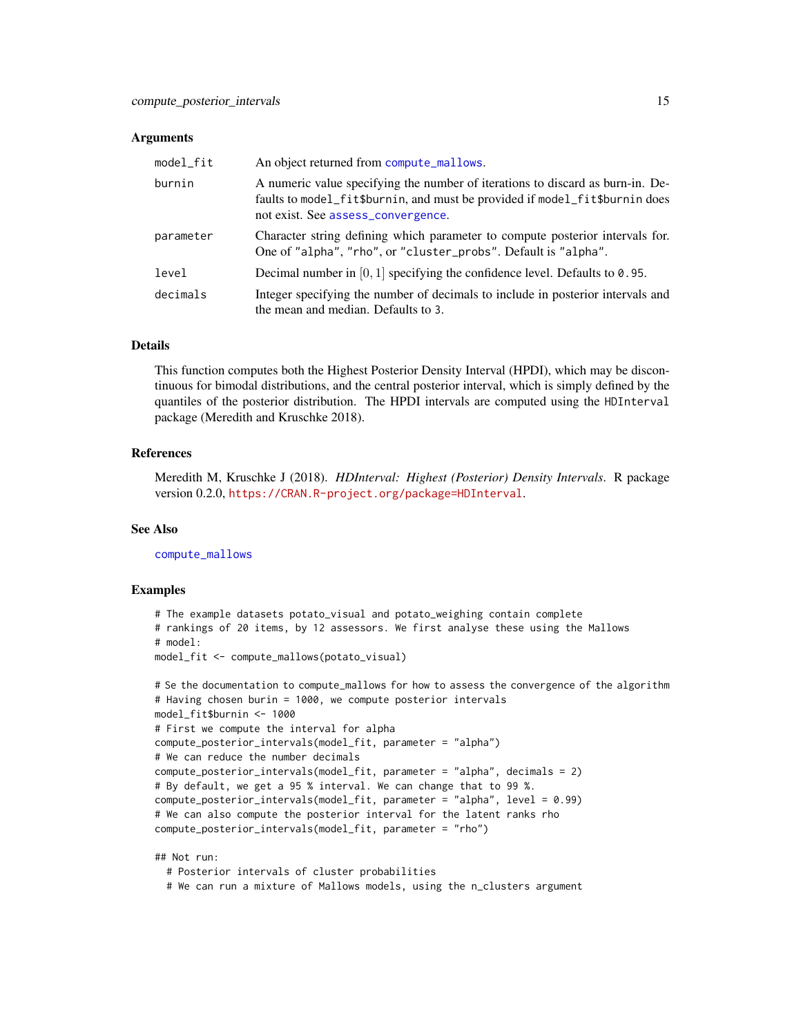#### <span id="page-14-0"></span>Arguments

| model_fit | An object returned from compute_mallows.                                                                                                                                                            |
|-----------|-----------------------------------------------------------------------------------------------------------------------------------------------------------------------------------------------------|
| burnin    | A numeric value specifying the number of iterations to discard as burn-in. De-<br>faults to model_fit\$burnin, and must be provided if model_fit\$burnin does<br>not exist. See assess_convergence. |
| parameter | Character string defining which parameter to compute posterior intervals for.<br>One of "alpha", "rho", or "cluster_probs". Default is "alpha".                                                     |
| level     | Decimal number in $[0, 1]$ specifying the confidence level. Defaults to 0.95.                                                                                                                       |
| decimals  | Integer specifying the number of decimals to include in posterior intervals and<br>the mean and median. Defaults to 3.                                                                              |

#### Details

This function computes both the Highest Posterior Density Interval (HPDI), which may be discontinuous for bimodal distributions, and the central posterior interval, which is simply defined by the quantiles of the posterior distribution. The HPDI intervals are computed using the HDInterval package (Meredith and Kruschke 2018).

#### References

Meredith M, Kruschke J (2018). *HDInterval: Highest (Posterior) Density Intervals*. R package version 0.2.0, <https://CRAN.R-project.org/package=HDInterval>.

#### See Also

[compute\\_mallows](#page-6-1)

#### Examples

```
# The example datasets potato_visual and potato_weighing contain complete
# rankings of 20 items, by 12 assessors. We first analyse these using the Mallows
# model:
model_fit <- compute_mallows(potato_visual)
```

```
# Se the documentation to compute_mallows for how to assess the convergence of the algorithm
# Having chosen burin = 1000, we compute posterior intervals
model_fit$burnin <- 1000
# First we compute the interval for alpha
compute_posterior_intervals(model_fit, parameter = "alpha")
# We can reduce the number decimals
compute_posterior_intervals(model_fit, parameter = "alpha", decimals = 2)
# By default, we get a 95 % interval. We can change that to 99 %.
compute_posterior_intervals(model_fit, parameter = "alpha", level = 0.99)
# We can also compute the posterior interval for the latent ranks rho
compute_posterior_intervals(model_fit, parameter = "rho")
```
## Not run:

# Posterior intervals of cluster probabilities

# We can run a mixture of Mallows models, using the n\_clusters argument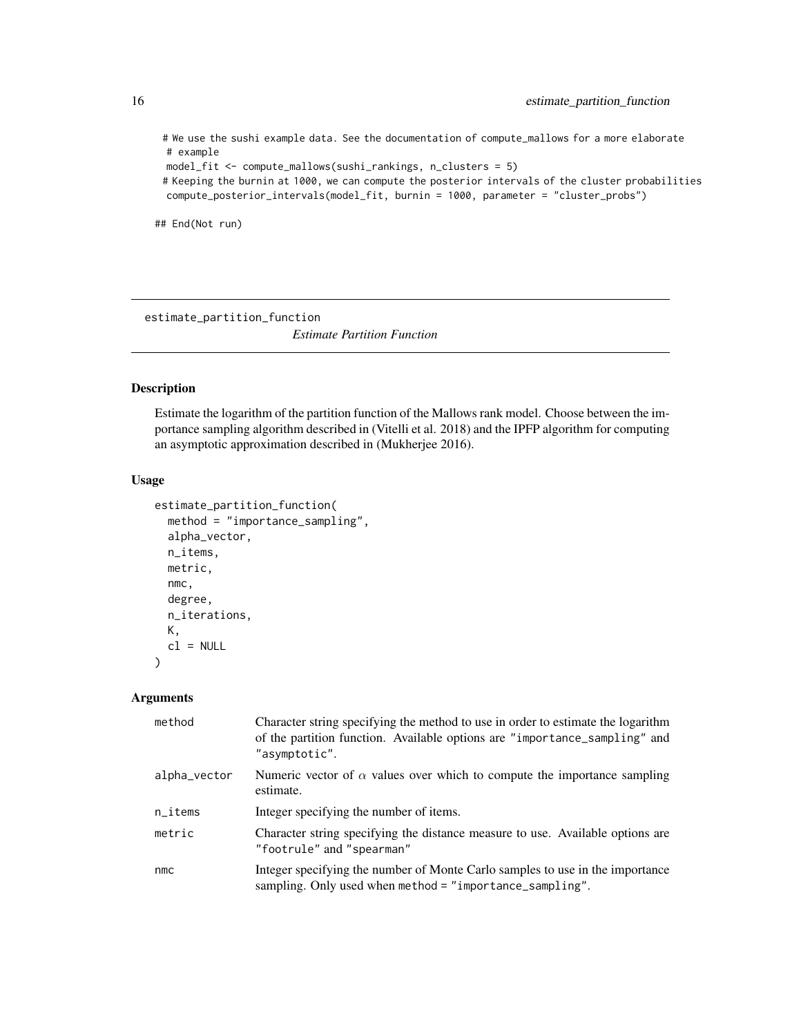# We use the sushi example data. See the documentation of compute\_mallows for a more elaborate # example

```
model_fit <- compute_mallows(sushi_rankings, n_clusters = 5)
```
# Keeping the burnin at 1000, we can compute the posterior intervals of the cluster probabilities compute\_posterior\_intervals(model\_fit, burnin = 1000, parameter = "cluster\_probs")

## End(Not run)

<span id="page-15-1"></span>estimate\_partition\_function

*Estimate Partition Function*

#### Description

Estimate the logarithm of the partition function of the Mallows rank model. Choose between the importance sampling algorithm described in (Vitelli et al. 2018) and the IPFP algorithm for computing an asymptotic approximation described in (Mukherjee 2016).

#### Usage

```
estimate_partition_function(
  method = "importance_sampling",
  alpha_vector,
  n_items,
  metric,
  nmc,
  degree,
  n_iterations,
 K,
  cl = NULL)
```
#### Arguments

| method                 | Character string specifying the method to use in order to estimate the logarithm<br>of the partition function. Available options are "importance_sampling" and<br>"asymptotic". |
|------------------------|---------------------------------------------------------------------------------------------------------------------------------------------------------------------------------|
| alpha_vector           | Numeric vector of $\alpha$ values over which to compute the importance sampling<br>estimate.                                                                                    |
| $n$ <sub>_i</sub> tems | Integer specifying the number of items.                                                                                                                                         |
| metric                 | Character string specifying the distance measure to use. Available options are<br>"footrule" and "spearman"                                                                     |
| nmc                    | Integer specifying the number of Monte Carlo samples to use in the importance<br>sampling. Only used when method = "importance_sampling".                                       |

<span id="page-15-0"></span>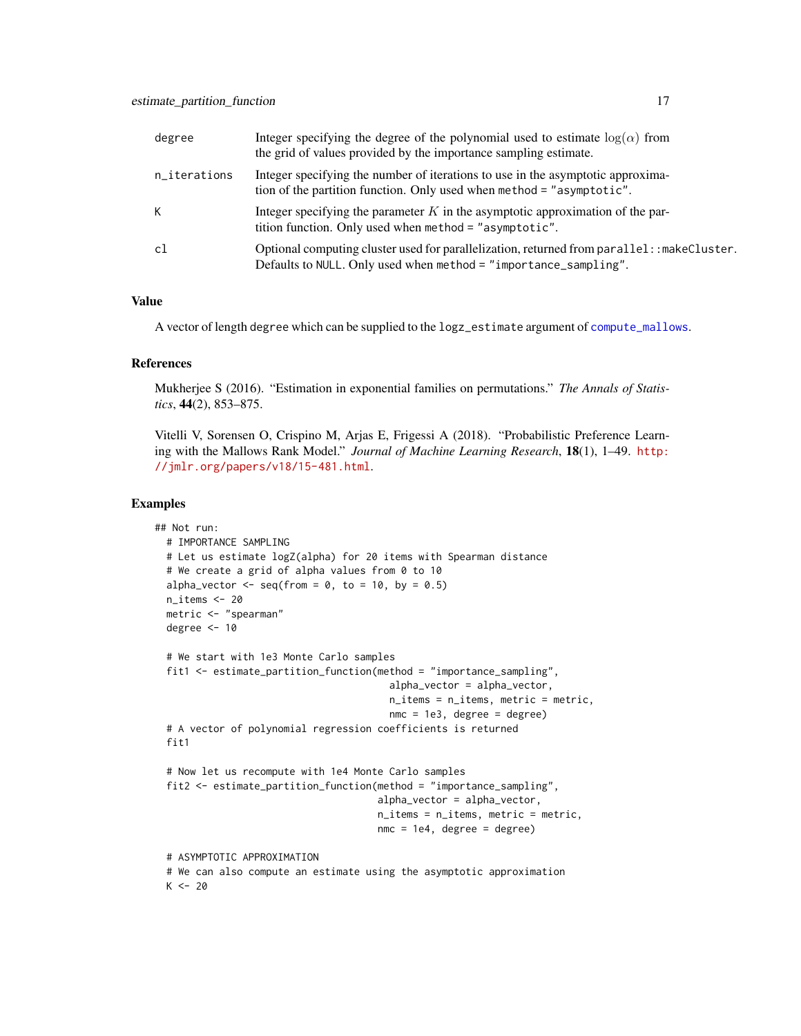<span id="page-16-0"></span>

| degree       | Integer specifying the degree of the polynomial used to estimate $log(\alpha)$ from<br>the grid of values provided by the importance sampling estimate.         |
|--------------|-----------------------------------------------------------------------------------------------------------------------------------------------------------------|
| n_iterations | Integer specifying the number of iterations to use in the asymptotic approxima-<br>tion of the partition function. Only used when method = "asymptotic".        |
| К            | Integer specifying the parameter $K$ in the asymptotic approximation of the par-<br>tition function. Only used when method = "asymptotic".                      |
| c1           | Optional computing cluster used for parallelization, returned from parallel: : makeCluster.<br>Defaults to NULL. Only used when method = "importance_sampling". |

#### Value

A vector of length degree which can be supplied to the logz\_estimate argument of [compute\\_mallows](#page-6-1).

#### References

Mukherjee S (2016). "Estimation in exponential families on permutations." *The Annals of Statistics*, 44(2), 853–875.

Vitelli V, Sorensen O, Crispino M, Arjas E, Frigessi A (2018). "Probabilistic Preference Learning with the Mallows Rank Model." *Journal of Machine Learning Research*, 18(1), 1–49. [http:](http://jmlr.org/papers/v18/15-481.html) [//jmlr.org/papers/v18/15-481.html](http://jmlr.org/papers/v18/15-481.html).

```
## Not run:
 # IMPORTANCE SAMPLING
 # Let us estimate logZ(alpha) for 20 items with Spearman distance
 # We create a grid of alpha values from 0 to 10
 alpha_vector \leq seq(from = 0, to = 10, by = 0.5)
 n_items <- 20
 metric <- "spearman"
 degree <-10# We start with 1e3 Monte Carlo samples
 fit1 <- estimate_partition_function(method = "importance_sampling",
                                        alpha_vector = alpha_vector,
                                        n_items = n_items, metric = metric,
                                        nmc = 1e3, degree = degree)
 # A vector of polynomial regression coefficients is returned
 fit1
 # Now let us recompute with 1e4 Monte Carlo samples
 fit2 <- estimate_partition_function(method = "importance_sampling",
                                      alpha_vector = alpha_vector,
                                      n_items = n_items, metric = metric,
                                      nmc = 1e4, degree = degree)
 # ASYMPTOTIC APPROXIMATION
 # We can also compute an estimate using the asymptotic approximation
 K < - 20
```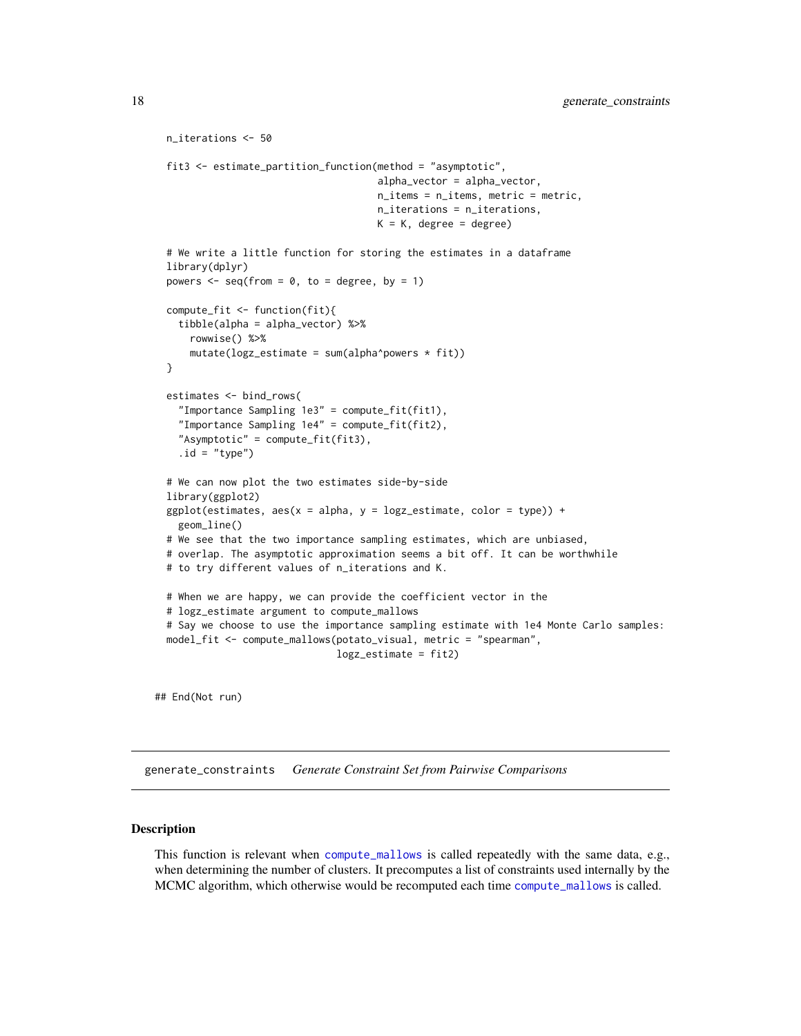```
n_iterations <- 50
fit3 <- estimate_partition_function(method = "asymptotic",
                                    alpha_vector = alpha_vector,
                                    n_items = n_items, metric = metric,
                                    n_iterations = n_iterations,
                                    K = K, degree = degree)
# We write a little function for storing the estimates in a dataframe
library(dplyr)
powers \leq seq(from = 0, to = degree, by = 1)
compute_fit <- function(fit){
  tibble(alpha = alpha_vector) %>%
    rowwise() %>%
    mutate(logz_estimate = sum(alpha^power* fit))}
estimates <- bind_rows(
  "Importance Sampling 1e3" = compute_fit(fit1),
  "Importance Sampling 1e4" = compute_fit(fit2),
  "Asymptotic" = compute_fit(fit3),
  .id = "type")# We can now plot the two estimates side-by-side
library(ggplot2)
ggplot(estimates, aes(x = alpha, y = logz_estimate, color = type)) +geom_line()
# We see that the two importance sampling estimates, which are unbiased,
# overlap. The asymptotic approximation seems a bit off. It can be worthwhile
# to try different values of n_iterations and K.
# When we are happy, we can provide the coefficient vector in the
# logz_estimate argument to compute_mallows
# Say we choose to use the importance sampling estimate with 1e4 Monte Carlo samples:
model_fit <- compute_mallows(potato_visual, metric = "spearman",
                             logz_estimate = fit2)
```
## End(Not run)

<span id="page-17-1"></span>generate\_constraints *Generate Constraint Set from Pairwise Comparisons*

#### **Description**

This function is relevant when [compute\\_mallows](#page-6-1) is called repeatedly with the same data, e.g., when determining the number of clusters. It precomputes a list of constraints used internally by the MCMC algorithm, which otherwise would be recomputed each time [compute\\_mallows](#page-6-1) is called.

<span id="page-17-0"></span>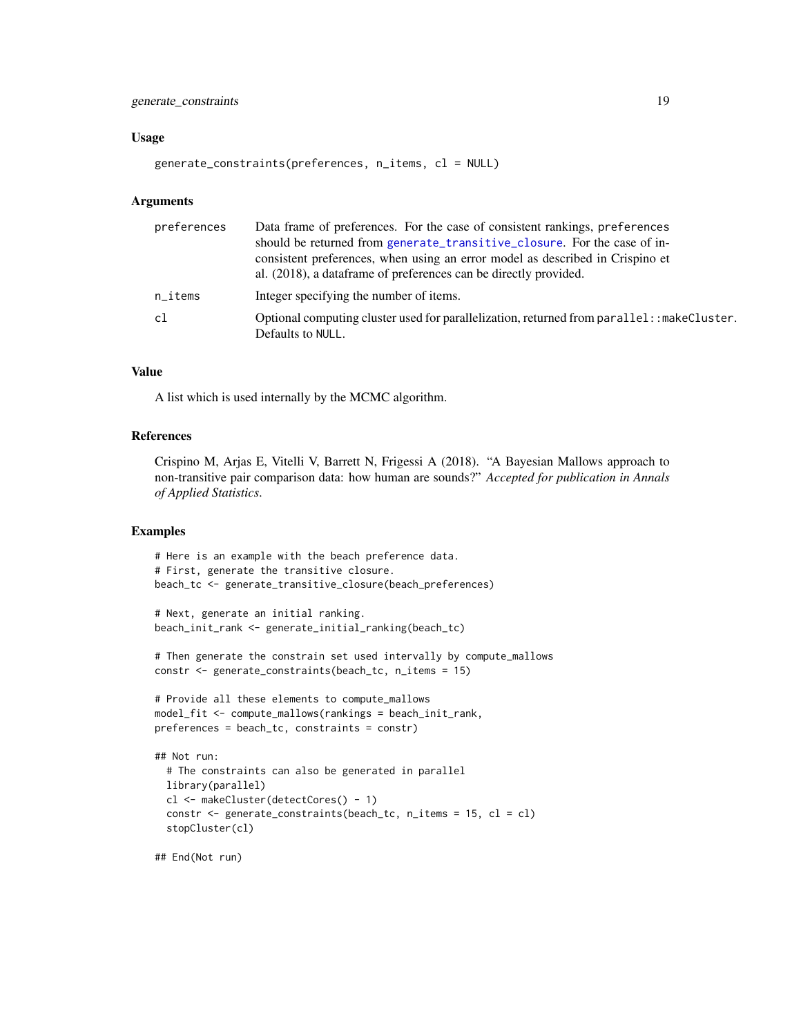#### <span id="page-18-0"></span>generate\_constraints 19

#### Usage

generate\_constraints(preferences, n\_items, cl = NULL)

#### Arguments

| preferences | Data frame of preferences. For the case of consistent rankings, preferences<br>should be returned from generate_transitive_closure. For the case of in-<br>consistent preferences, when using an error model as described in Crispino et |
|-------------|------------------------------------------------------------------------------------------------------------------------------------------------------------------------------------------------------------------------------------------|
|             | al. (2018), a data frame of preferences can be directly provided.                                                                                                                                                                        |
| n_items     | Integer specifying the number of items.                                                                                                                                                                                                  |
| c1          | Optional computing cluster used for parallelization, returned from parallel: : makeCluster.<br>Defaults to NULL.                                                                                                                         |

#### Value

A list which is used internally by the MCMC algorithm.

#### References

Crispino M, Arjas E, Vitelli V, Barrett N, Frigessi A (2018). "A Bayesian Mallows approach to non-transitive pair comparison data: how human are sounds?" *Accepted for publication in Annals of Applied Statistics*.

#### Examples

```
# Here is an example with the beach preference data.
# First, generate the transitive closure.
beach_tc <- generate_transitive_closure(beach_preferences)
```

```
# Next, generate an initial ranking.
beach_init_rank <- generate_initial_ranking(beach_tc)
```

```
# Then generate the constrain set used intervally by compute_mallows
constr <- generate_constraints(beach_tc, n_items = 15)
```

```
# Provide all these elements to compute_mallows
model_fit <- compute_mallows(rankings = beach_init_rank,
preferences = beach_tc, constraints = constr)
```

```
## Not run:
 # The constraints can also be generated in parallel
 library(parallel)
 cl <- makeCluster(detectCores() - 1)
 constr <- generate_constraints(beach_tc, n_items = 15, cl = cl)
 stopCluster(cl)
```
## End(Not run)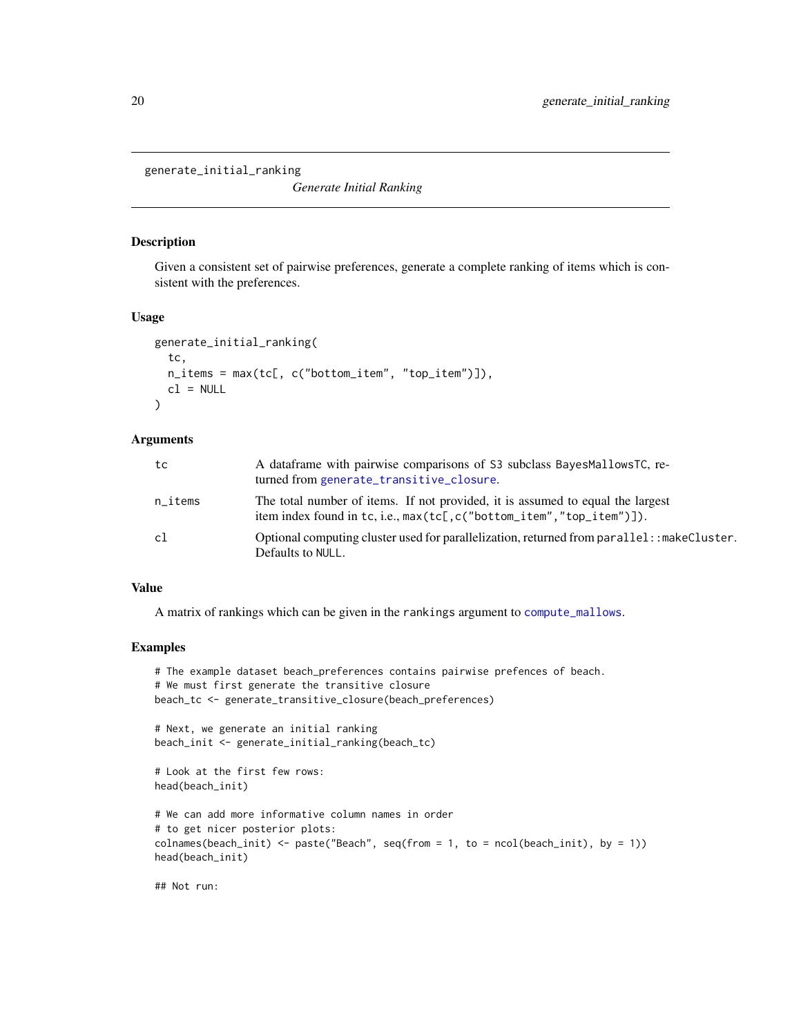<span id="page-19-1"></span><span id="page-19-0"></span>generate\_initial\_ranking

*Generate Initial Ranking*

#### Description

Given a consistent set of pairwise preferences, generate a complete ranking of items which is consistent with the preferences.

#### Usage

```
generate_initial_ranking(
  tc,
 n_items = max(tc[, c("bottom_item", "top_item")]),
 cl = NULL)
```
#### Arguments

| tc      | A dataframe with pairwise comparisons of S3 subclass BayesMallowsTC, re-<br>turned from generate_transitive_closure.                                   |
|---------|--------------------------------------------------------------------------------------------------------------------------------------------------------|
| n_items | The total number of items. If not provided, it is assumed to equal the largest<br>item index found in tc, i.e., max(tc[,c("bottom_item","top_item")]). |
| c1      | Optional computing cluster used for parallelization, returned from parallel: : makeCluster.<br>Defaults to NULL.                                       |

#### Value

A matrix of rankings which can be given in the rankings argument to [compute\\_mallows](#page-6-1).

#### Examples

```
# The example dataset beach_preferences contains pairwise prefences of beach.
# We must first generate the transitive closure
beach_tc <- generate_transitive_closure(beach_preferences)
# Next, we generate an initial ranking
beach_init <- generate_initial_ranking(beach_tc)
# Look at the first few rows:
head(beach_init)
# We can add more informative column names in order
# to get nicer posterior plots:
colnames(beach_init) <- paste("Beach", seq(from = 1, to = ncol(beach_init), by = 1))
head(beach_init)
```
## Not run: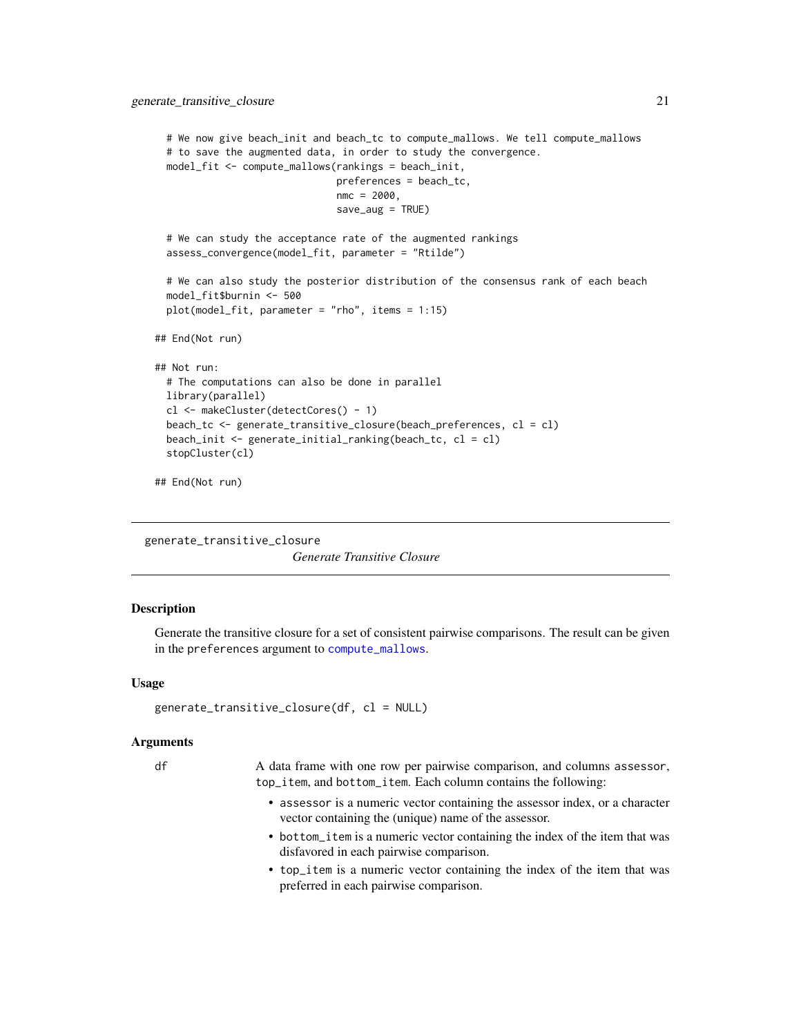```
# We now give beach_init and beach_tc to compute_mallows. We tell compute_mallows
 # to save the augmented data, in order to study the convergence.
 model_fit <- compute_mallows(rankings = beach_init,
                               preferences = beach_tc,
                               nmc = 2000,
                               save_aug = TRUE)
 # We can study the acceptance rate of the augmented rankings
 assess_convergence(model_fit, parameter = "Rtilde")
 # We can also study the posterior distribution of the consensus rank of each beach
 model_fit$burnin <- 500
 plot(model_fit, parameter = "rho", items = 1:15)
## End(Not run)
## Not run:
 # The computations can also be done in parallel
 library(parallel)
 cl <- makeCluster(detectCores() - 1)
 beach_tc <- generate_transitive_closure(beach_preferences, cl = cl)
 beach_init <- generate_initial_ranking(beach_tc, cl = cl)
 stopCluster(cl)
## End(Not run)
```
<span id="page-20-1"></span>generate\_transitive\_closure

*Generate Transitive Closure*

#### Description

Generate the transitive closure for a set of consistent pairwise comparisons. The result can be given in the preferences argument to [compute\\_mallows](#page-6-1).

#### Usage

```
generate_transitive_closure(df, cl = NULL)
```
#### Arguments

df A data frame with one row per pairwise comparison, and columns assessor, top\_item, and bottom\_item. Each column contains the following:

- assessor is a numeric vector containing the assessor index, or a character vector containing the (unique) name of the assessor.
- bottom\_item is a numeric vector containing the index of the item that was disfavored in each pairwise comparison.
- top\_item is a numeric vector containing the index of the item that was preferred in each pairwise comparison.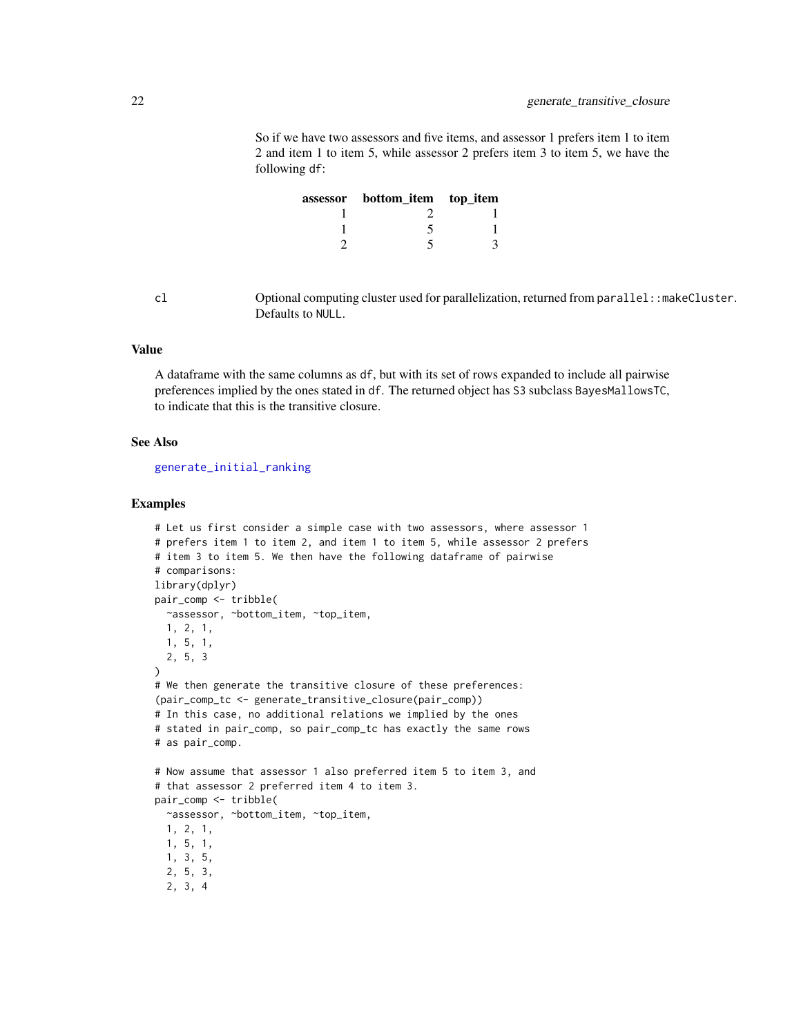<span id="page-21-0"></span>So if we have two assessors and five items, and assessor 1 prefers item 1 to item 2 and item 1 to item 5, while assessor 2 prefers item 3 to item 5, we have the following df:

| assessor bottom_item top_item |  |
|-------------------------------|--|
|                               |  |
|                               |  |
|                               |  |

cl Optional computing cluster used for parallelization, returned from parallel::makeCluster. Defaults to NULL.

#### Value

A dataframe with the same columns as df, but with its set of rows expanded to include all pairwise preferences implied by the ones stated in df. The returned object has S3 subclass BayesMallowsTC, to indicate that this is the transitive closure.

#### See Also

[generate\\_initial\\_ranking](#page-19-1)

```
# Let us first consider a simple case with two assessors, where assessor 1
# prefers item 1 to item 2, and item 1 to item 5, while assessor 2 prefers
# item 3 to item 5. We then have the following dataframe of pairwise
# comparisons:
library(dplyr)
pair_comp <- tribble(
  ~assessor, ~bottom_item, ~top_item,
  1, 2, 1,
  1, 5, 1,
  2, 5, 3
)
# We then generate the transitive closure of these preferences:
(pair_comp_tc <- generate_transitive_closure(pair_comp))
# In this case, no additional relations we implied by the ones
# stated in pair_comp, so pair_comp_tc has exactly the same rows
# as pair_comp.
# Now assume that assessor 1 also preferred item 5 to item 3, and
# that assessor 2 preferred item 4 to item 3.
pair_comp <- tribble(
  ~assessor, ~bottom_item, ~top_item,
  1, 2, 1,
  1, 5, 1,
  1, 3, 5,
  2, 5, 3,
  2, 3, 4
```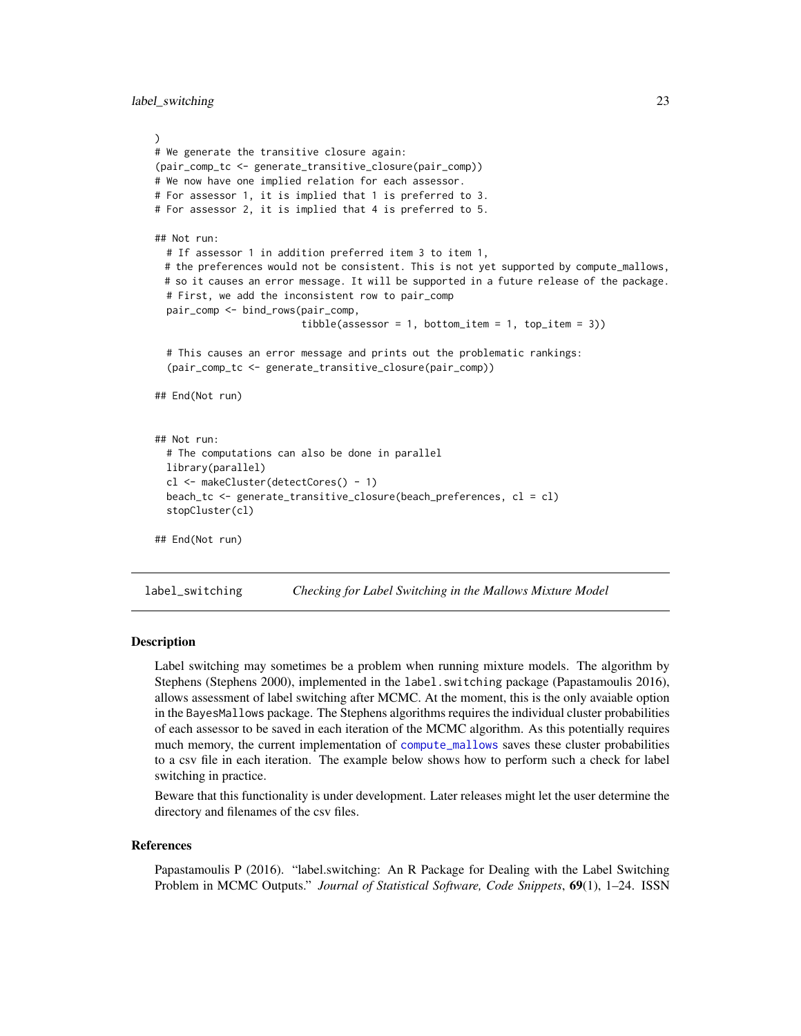```
)
# We generate the transitive closure again:
(pair_comp_tc <- generate_transitive_closure(pair_comp))
# We now have one implied relation for each assessor.
# For assessor 1, it is implied that 1 is preferred to 3.
# For assessor 2, it is implied that 4 is preferred to 5.
## Not run:
 # If assessor 1 in addition preferred item 3 to item 1,
 # the preferences would not be consistent. This is not yet supported by compute_mallows,
 # so it causes an error message. It will be supported in a future release of the package.
 # First, we add the inconsistent row to pair_comp
 pair_comp <- bind_rows(pair_comp,
                         tible(assessor = 1, bottom_time = 1, top_time = 3))# This causes an error message and prints out the problematic rankings:
  (pair_comp_tc <- generate_transitive_closure(pair_comp))
## End(Not run)
## Not run:
 # The computations can also be done in parallel
 library(parallel)
 cl <- makeCluster(detectCores() - 1)
 beach_tc <- generate_transitive_closure(beach_preferences, cl = cl)
  stopCluster(cl)
## End(Not run)
```
<span id="page-22-1"></span>label\_switching *Checking for Label Switching in the Mallows Mixture Model*

#### Description

Label switching may sometimes be a problem when running mixture models. The algorithm by Stephens (Stephens 2000), implemented in the label. switching package (Papastamoulis 2016), allows assessment of label switching after MCMC. At the moment, this is the only avaiable option in the BayesMallows package. The Stephens algorithms requires the individual cluster probabilities of each assessor to be saved in each iteration of the MCMC algorithm. As this potentially requires much memory, the current implementation of [compute\\_mallows](#page-6-1) saves these cluster probabilities to a csv file in each iteration. The example below shows how to perform such a check for label switching in practice.

Beware that this functionality is under development. Later releases might let the user determine the directory and filenames of the csv files.

#### References

Papastamoulis P (2016). "label.switching: An R Package for Dealing with the Label Switching Problem in MCMC Outputs." *Journal of Statistical Software, Code Snippets*, 69(1), 1–24. ISSN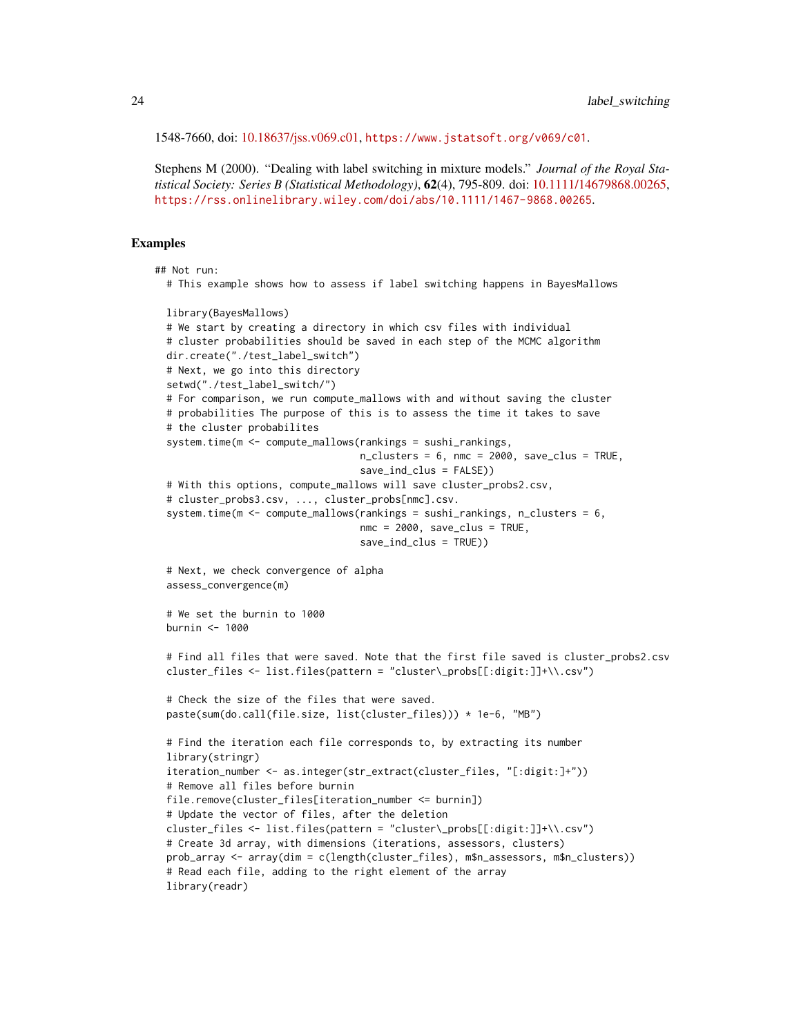1548-7660, doi: [10.18637/jss.v069.c01,](https://doi.org/10.18637/jss.v069.c01) <https://www.jstatsoft.org/v069/c01>.

Stephens M (2000). "Dealing with label switching in mixture models." *Journal of the Royal Statistical Society: Series B (Statistical Methodology)*, 62(4), 795-809. doi: [10.1111/14679868.00265,](https://doi.org/10.1111/1467-9868.00265) <https://rss.onlinelibrary.wiley.com/doi/abs/10.1111/1467-9868.00265>.

```
## Not run:
 # This example shows how to assess if label switching happens in BayesMallows
 library(BayesMallows)
 # We start by creating a directory in which csv files with individual
 # cluster probabilities should be saved in each step of the MCMC algorithm
 dir.create("./test_label_switch")
 # Next, we go into this directory
 setwd("./test_label_switch/")
 # For comparison, we run compute_mallows with and without saving the cluster
 # probabilities The purpose of this is to assess the time it takes to save
  # the cluster probabilites
  system.time(m <- compute_mallows(rankings = sushi_rankings,
                                  n-clusters = 6, nmc = 2000, save_clus = TRUE,
                                   save_ind_clus = FALSE))
 # With this options, compute_mallows will save cluster_probs2.csv,
 # cluster_probs3.csv, ..., cluster_probs[nmc].csv.
 system.time(m \leq compute_mallows(rankings = sushi_rankings, n_clusters = 6,
                                   nmc = 2000, save_clus = TRUE,
                                   save_ind_clus = TRUE))
 # Next, we check convergence of alpha
 assess_convergence(m)
 # We set the burnin to 1000
 burnin <- 1000
 # Find all files that were saved. Note that the first file saved is cluster_probs2.csv
 cluster_files <- list.files(pattern = "cluster\_probs[[:digit:]]+\\.csv")
 # Check the size of the files that were saved.
 paste(sum(do.call(file.size, list(cluster_files))) * 1e-6, "MB")
 # Find the iteration each file corresponds to, by extracting its number
 library(stringr)
 iteration_number <- as.integer(str_extract(cluster_files, "[:digit:]+"))
 # Remove all files before burnin
 file.remove(cluster_files[iteration_number <= burnin])
  # Update the vector of files, after the deletion
 cluster_files <- list.files(pattern = "cluster\_probs[[:digit:]]+\\.csv")
 # Create 3d array, with dimensions (iterations, assessors, clusters)
 prob_array <- array(dim = c(length(cluster_files), m$n_assessors, m$n_clusters))
 # Read each file, adding to the right element of the array
 library(readr)
```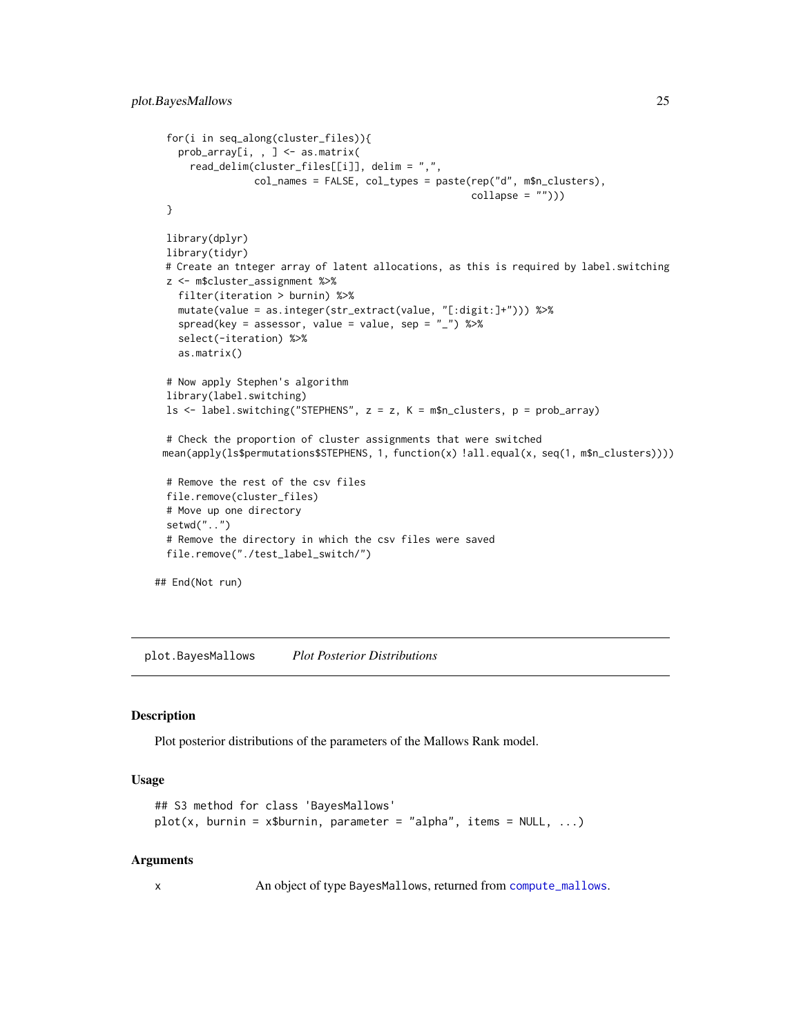```
for(i in seq_along(cluster_files)){
   prob_array[i, , ] <- as.matrix(
     read_delim(cluster_files[[i]], delim = ",",
                 col_names = FALSE, col_types = paste(rep("d", m$n_clusters),
                                                      collapse = ""))
 }
 library(dplyr)
 library(tidyr)
 # Create an tnteger array of latent allocations, as this is required by label.switching
 z <- m$cluster_assignment %>%
   filter(iteration > burnin) %>%
   mutate(value = as.integer(str_extract(value, "[:digit:]+"))) %>%
    spread(key = assessor, value = value, sep = "_") %>%
    select(-iteration) %>%
   as.matrix()
 # Now apply Stephen's algorithm
 library(label.switching)
 ls <- label.switching("STEPHENS", z = z, K = m$n_clusters, p = prob_array)
 # Check the proportion of cluster assignments that were switched
 mean(apply(ls$permutations$STEPHENS, 1, function(x) !all.equal(x, seq(1, m$n_clusters))))
 # Remove the rest of the csv files
 file.remove(cluster_files)
 # Move up one directory
 setwd("..")
 # Remove the directory in which the csv files were saved
 file.remove("./test_label_switch/")
## End(Not run)
```
<span id="page-24-1"></span>plot.BayesMallows *Plot Posterior Distributions*

#### Description

Plot posterior distributions of the parameters of the Mallows Rank model.

#### Usage

```
## S3 method for class 'BayesMallows'
plot(x, burnin = x$burnin, parameter = "alpha", items = NULL, ...)
```
#### Arguments

x An object of type BayesMallows, returned from [compute\\_mallows](#page-6-1).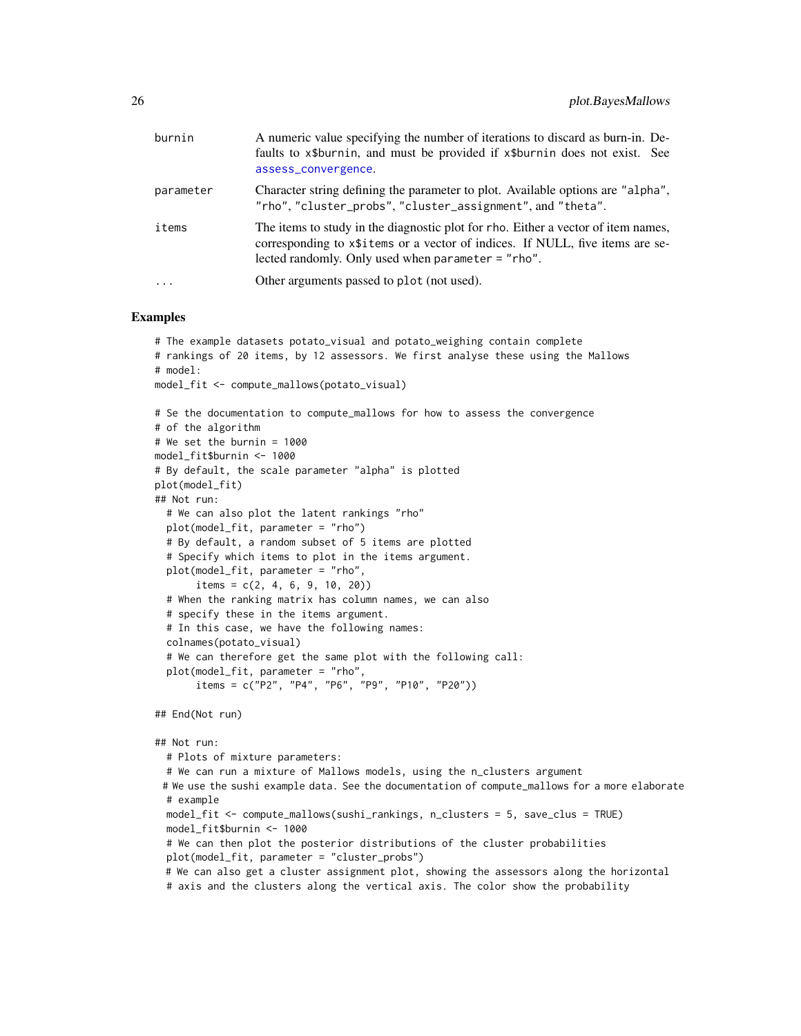<span id="page-25-0"></span>

| burnin    | A numeric value specifying the number of iterations to discard as burn-in. De-<br>faults to x\$burnin, and must be provided if x\$burnin does not exist. See<br>assess_convergence.                                            |
|-----------|--------------------------------------------------------------------------------------------------------------------------------------------------------------------------------------------------------------------------------|
| parameter | Character string defining the parameter to plot. Available options are "alpha",<br>"rho", "cluster_probs", "cluster_assignment", and "theta".                                                                                  |
| items     | The items to study in the diagnostic plot for rho. Either a vector of item names,<br>corresponding to x\\$1.1 tems or a vector of indices. If NULL, five items are se-<br>lected randomly. Only used when parameter $=$ "rho". |
| .         | Other arguments passed to plot (not used).                                                                                                                                                                                     |

#### Examples

```
# The example datasets potato_visual and potato_weighing contain complete
# rankings of 20 items, by 12 assessors. We first analyse these using the Mallows
# model:
model_fit <- compute_mallows(potato_visual)
# Se the documentation to compute_mallows for how to assess the convergence
# of the algorithm
# We set the burnin = 1000
model_fit$burnin <- 1000
# By default, the scale parameter "alpha" is plotted
plot(model_fit)
## Not run:
  # We can also plot the latent rankings "rho"
  plot(model_fit, parameter = "rho")
  # By default, a random subset of 5 items are plotted
  # Specify which items to plot in the items argument.
  plot(model_fit, parameter = "rho",
       items = c(2, 4, 6, 9, 10, 20)# When the ranking matrix has column names, we can also
  # specify these in the items argument.
  # In this case, we have the following names:
  colnames(potato_visual)
  # We can therefore get the same plot with the following call:
  plot(model_fit, parameter = "rho",
       items = c("P2", "P4", "P6", "P9", "P10", "P20"))
## End(Not run)
```
#### ## Not run:

# Plots of mixture parameters: # We can run a mixture of Mallows models, using the n\_clusters argument # We use the sushi example data. See the documentation of compute\_mallows for a more elaborate # example model\_fit <- compute\_mallows(sushi\_rankings, n\_clusters = 5, save\_clus = TRUE) model\_fit\$burnin <- 1000 # We can then plot the posterior distributions of the cluster probabilities plot(model\_fit, parameter = "cluster\_probs") # We can also get a cluster assignment plot, showing the assessors along the horizontal # axis and the clusters along the vertical axis. The color show the probability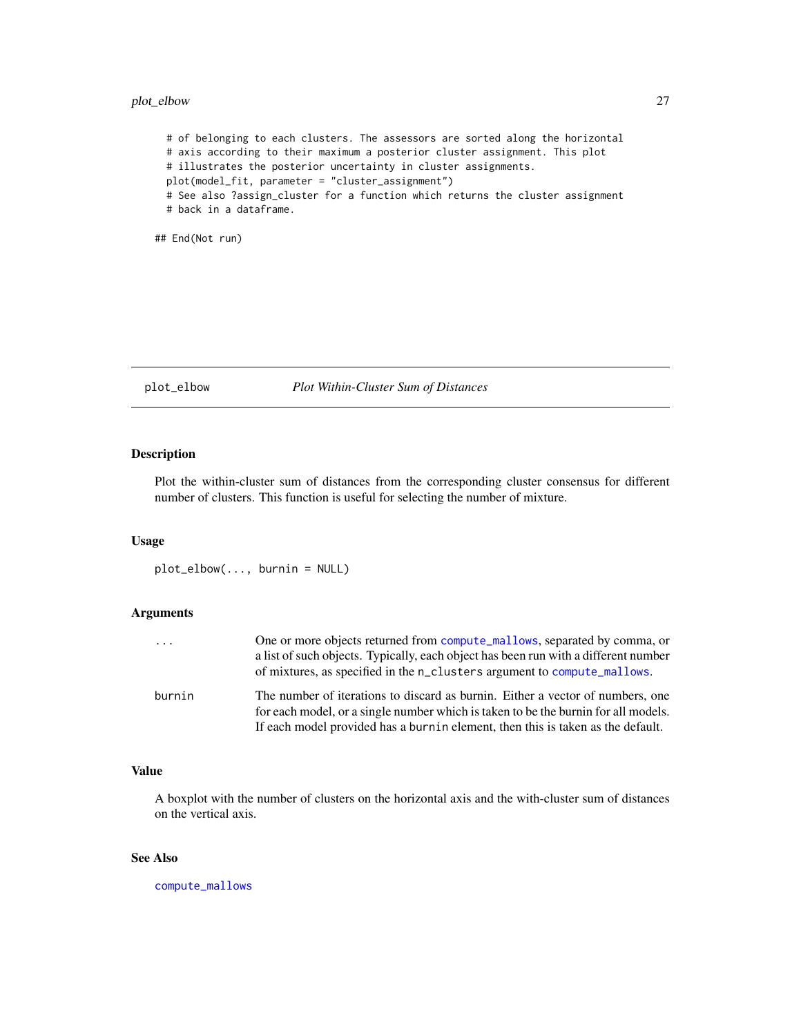#### <span id="page-26-0"></span>plot\_elbow 27

# of belonging to each clusters. The assessors are sorted along the horizontal # axis according to their maximum a posterior cluster assignment. This plot # illustrates the posterior uncertainty in cluster assignments. plot(model\_fit, parameter = "cluster\_assignment") # See also ?assign\_cluster for a function which returns the cluster assignment # back in a dataframe.

## End(Not run)

#### <span id="page-26-1"></span>plot\_elbow *Plot Within-Cluster Sum of Distances*

#### Description

Plot the within-cluster sum of distances from the corresponding cluster consensus for different number of clusters. This function is useful for selecting the number of mixture.

#### Usage

plot\_elbow(..., burnin = NULL)

#### Arguments

| .      | One or more objects returned from compute_mallows, separated by comma, or<br>a list of such objects. Typically, each object has been run with a different number<br>of mixtures, as specified in the n_clusters argument to compute_mallows.            |
|--------|---------------------------------------------------------------------------------------------------------------------------------------------------------------------------------------------------------------------------------------------------------|
| burnin | The number of iterations to discard as burnin. Either a vector of numbers, one<br>for each model, or a single number which is taken to be the burnin for all models.<br>If each model provided has a burnin element, then this is taken as the default. |

#### Value

A boxplot with the number of clusters on the horizontal axis and the with-cluster sum of distances on the vertical axis.

#### See Also

[compute\\_mallows](#page-6-1)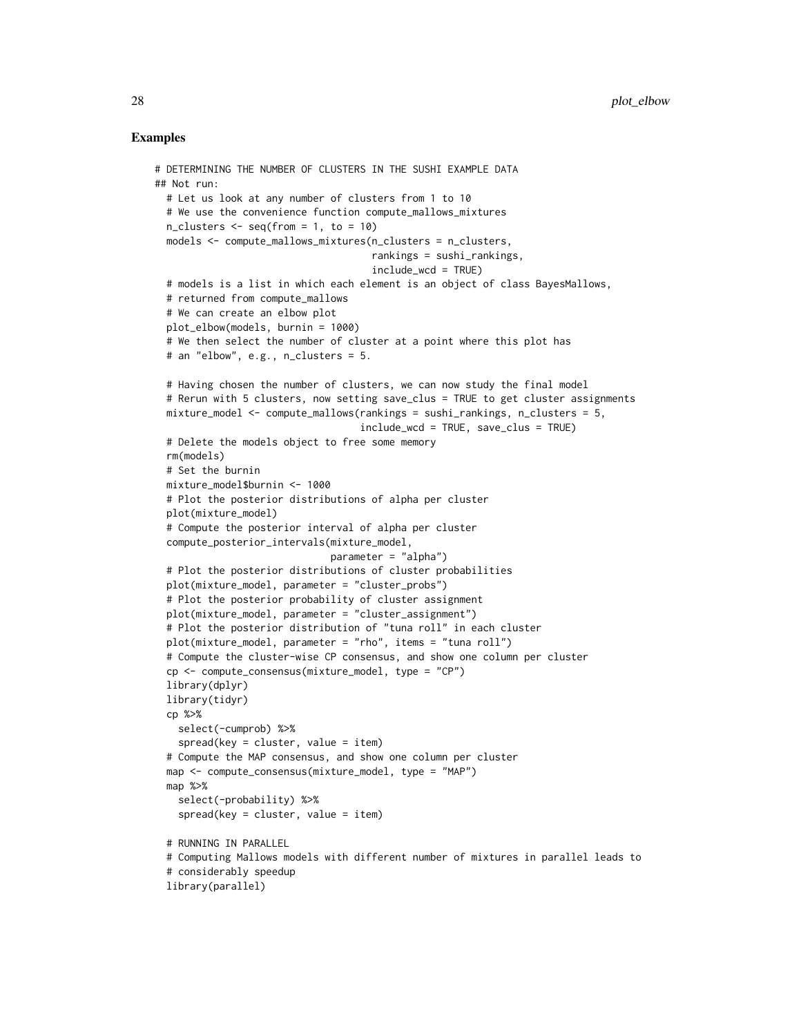```
# DETERMINING THE NUMBER OF CLUSTERS IN THE SUSHI EXAMPLE DATA
## Not run:
 # Let us look at any number of clusters from 1 to 10
 # We use the convenience function compute_mallows_mixtures
 n_{\text{clusters}} \leftarrow \text{seq}(\text{from} = 1, \text{to} = 10)models <- compute_mallows_mixtures(n_clusters = n_clusters,
                                     rankings = sushi_rankings,
                                     include_wcd = TRUE)
 # models is a list in which each element is an object of class BayesMallows,
 # returned from compute_mallows
 # We can create an elbow plot
 plot_elbow(models, burnin = 1000)
 # We then select the number of cluster at a point where this plot has
 # an "elbow", e.g., n_clusters = 5.
 # Having chosen the number of clusters, we can now study the final model
 # Rerun with 5 clusters, now setting save_clus = TRUE to get cluster assignments
 mixture_model <- compute_mallows(rankings = sushi_rankings, n_clusters = 5,
                                   include_wcd = TRUE, save_clus = TRUE)
 # Delete the models object to free some memory
 rm(models)
 # Set the burnin
 mixture_model$burnin <- 1000
 # Plot the posterior distributions of alpha per cluster
 plot(mixture_model)
 # Compute the posterior interval of alpha per cluster
 compute_posterior_intervals(mixture_model,
                              parameter = "alpha")
 # Plot the posterior distributions of cluster probabilities
 plot(mixture_model, parameter = "cluster_probs")
 # Plot the posterior probability of cluster assignment
 plot(mixture_model, parameter = "cluster_assignment")
 # Plot the posterior distribution of "tuna roll" in each cluster
 plot(mixture_model, parameter = "rho", items = "tuna roll")
 # Compute the cluster-wise CP consensus, and show one column per cluster
 cp <- compute_consensus(mixture_model, type = "CP")
 library(dplyr)
 library(tidyr)
 cp %>%
   select(-cumprob) %>%
   spread(key = cluster, value = item)# Compute the MAP consensus, and show one column per cluster
 map <- compute_consensus(mixture_model, type = "MAP")
 map %>%
   select(-probability) %>%
   spread(key = cluster, value = item)# RUNNING IN PARALLEL
 # Computing Mallows models with different number of mixtures in parallel leads to
 # considerably speedup
 library(parallel)
```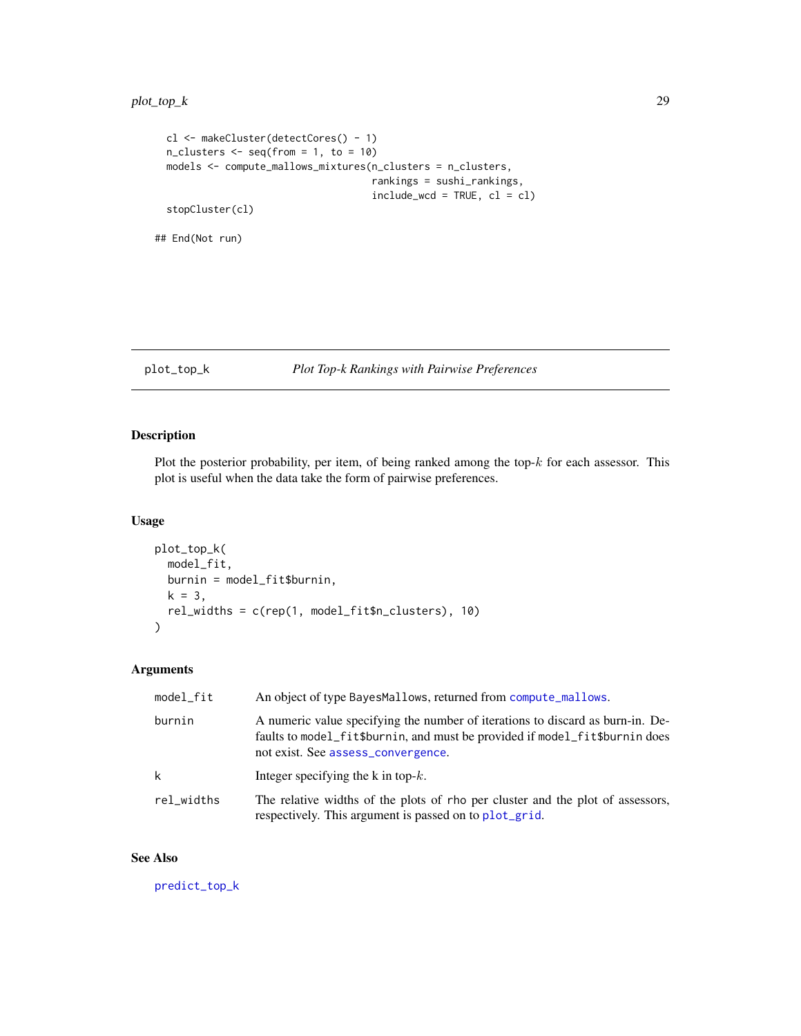```
cl <- makeCluster(detectCores() - 1)
  n_{\text{clusters}} \leftarrow \text{seq}(\text{from} = 1, \text{to} = 10)models <- compute_mallows_mixtures(n_clusters = n_clusters,
                                           rankings = sushi_rankings,
                                           include\_wcd = TRUE, cl = clstopCluster(cl)
## End(Not run)
```
#### <span id="page-28-1"></span>plot\_top\_k *Plot Top-k Rankings with Pairwise Preferences*

#### Description

Plot the posterior probability, per item, of being ranked among the top- $k$  for each assessor. This plot is useful when the data take the form of pairwise preferences.

#### Usage

```
plot_top_k(
  model_fit,
  burnin = model_fit$burnin,
  k = 3,
  rel_widths = c(rep(1, model_fit$n_clusters), 10)
\mathcal{L}
```
#### Arguments

| model_fit  | An object of type BayesMallows, returned from compute_mallows.                                                                                                                                      |
|------------|-----------------------------------------------------------------------------------------------------------------------------------------------------------------------------------------------------|
| burnin     | A numeric value specifying the number of iterations to discard as burn-in. De-<br>faults to model_fit\$burnin, and must be provided if model_fit\$burnin does<br>not exist. See assess_convergence. |
| k          | Integer specifying the k in top- $k$ .                                                                                                                                                              |
| rel_widths | The relative widths of the plots of rho per cluster and the plot of assessors,<br>respectively. This argument is passed on to plot_grid.                                                            |

#### See Also

[predict\\_top\\_k](#page-31-1)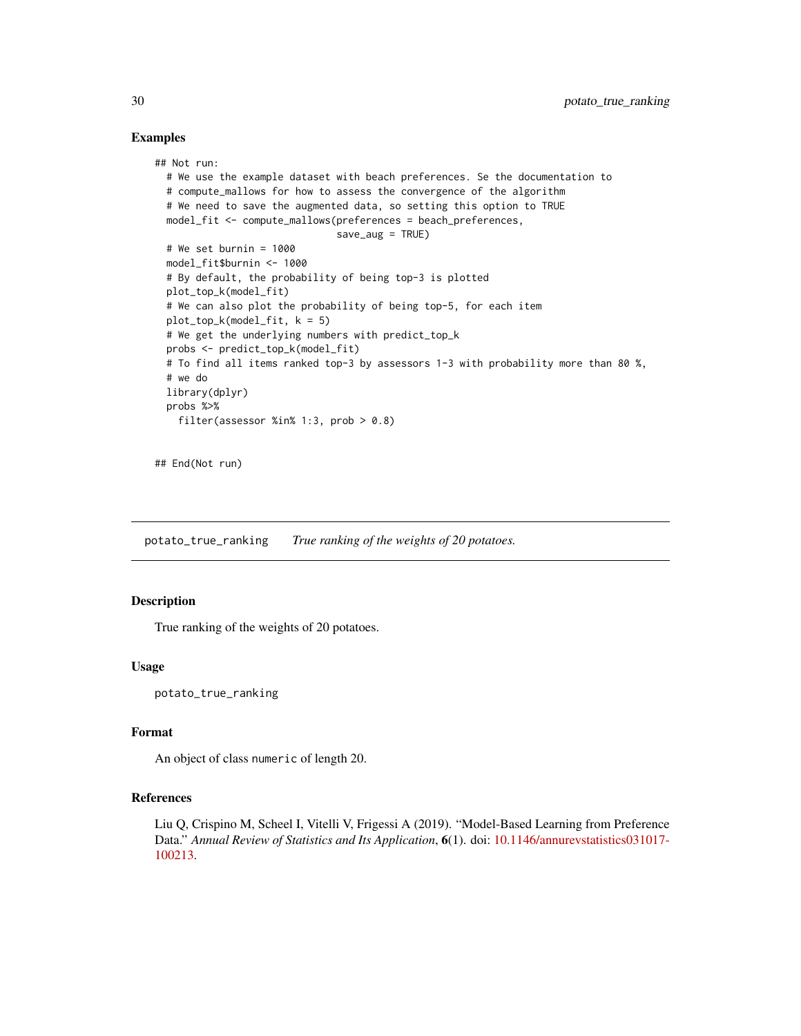#### Examples

```
## Not run:
 # We use the example dataset with beach preferences. Se the documentation to
 # compute_mallows for how to assess the convergence of the algorithm
 # We need to save the augmented data, so setting this option to TRUE
 model_fit <- compute_mallows(preferences = beach_preferences,
                               save_aug = TRUE)
 # We set burnin = 1000
 model_fit$burnin <- 1000
 # By default, the probability of being top-3 is plotted
 plot_top_k(model_fit)
 # We can also plot the probability of being top-5, for each item
 plot\_top_k(model_fit, k = 5)# We get the underlying numbers with predict_top_k
 probs <- predict_top_k(model_fit)
 # To find all items ranked top-3 by assessors 1-3 with probability more than 80 %,
 # we do
 library(dplyr)
 probs %>%
    filter(assessor %in% 1:3, prob > 0.8)
```
## End(Not run)

potato\_true\_ranking *True ranking of the weights of 20 potatoes.*

#### Description

True ranking of the weights of 20 potatoes.

#### Usage

potato\_true\_ranking

#### Format

An object of class numeric of length 20.

#### References

Liu Q, Crispino M, Scheel I, Vitelli V, Frigessi A (2019). "Model-Based Learning from Preference Data." *Annual Review of Statistics and Its Application*, 6(1). doi: [10.1146/annurevstatistics031017-](https://doi.org/10.1146/annurev-statistics-031017-100213) [100213.](https://doi.org/10.1146/annurev-statistics-031017-100213)

<span id="page-29-0"></span>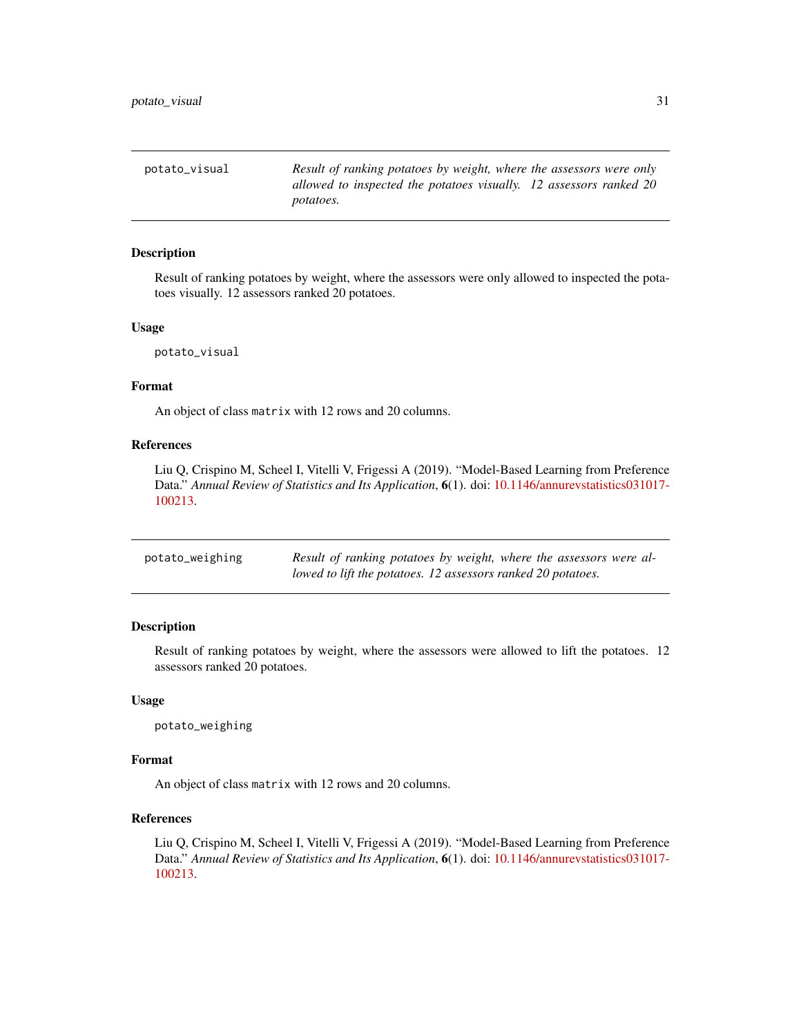<span id="page-30-0"></span>potato\_visual *Result of ranking potatoes by weight, where the assessors were only allowed to inspected the potatoes visually. 12 assessors ranked 20 potatoes.*

#### Description

Result of ranking potatoes by weight, where the assessors were only allowed to inspected the potatoes visually. 12 assessors ranked 20 potatoes.

#### Usage

potato\_visual

#### Format

An object of class matrix with 12 rows and 20 columns.

#### References

Liu Q, Crispino M, Scheel I, Vitelli V, Frigessi A (2019). "Model-Based Learning from Preference Data." *Annual Review of Statistics and Its Application*, 6(1). doi: [10.1146/annurevstatistics031017-](https://doi.org/10.1146/annurev-statistics-031017-100213) [100213.](https://doi.org/10.1146/annurev-statistics-031017-100213)

| potato_weighing | Result of ranking potatoes by weight, where the assessors were al- |
|-----------------|--------------------------------------------------------------------|
|                 | lowed to lift the potatoes. 12 assessors ranked 20 potatoes.       |

#### Description

Result of ranking potatoes by weight, where the assessors were allowed to lift the potatoes. 12 assessors ranked 20 potatoes.

#### Usage

potato\_weighing

#### Format

An object of class matrix with 12 rows and 20 columns.

#### References

Liu Q, Crispino M, Scheel I, Vitelli V, Frigessi A (2019). "Model-Based Learning from Preference Data." *Annual Review of Statistics and Its Application*, 6(1). doi: [10.1146/annurevstatistics031017-](https://doi.org/10.1146/annurev-statistics-031017-100213) [100213.](https://doi.org/10.1146/annurev-statistics-031017-100213)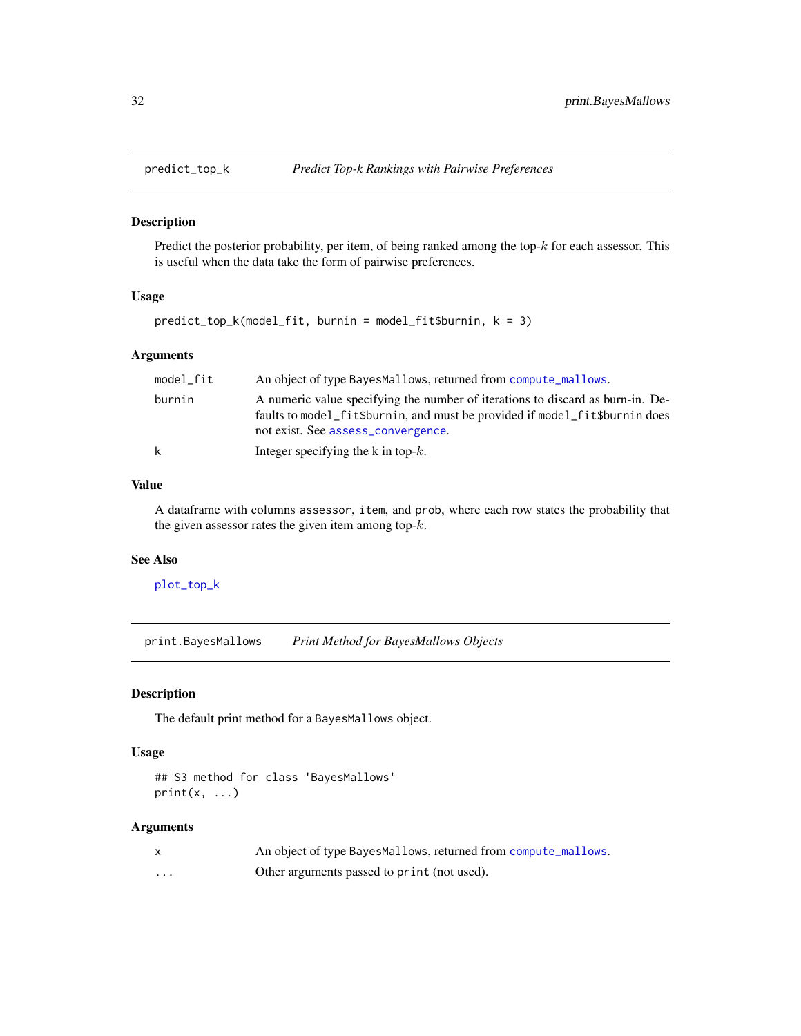<span id="page-31-1"></span><span id="page-31-0"></span>

#### Description

Predict the posterior probability, per item, of being ranked among the top- $k$  for each assessor. This is useful when the data take the form of pairwise preferences.

#### Usage

```
predict_top_k(model_fit, burnin = model_fit$burnin, k = 3)
```
#### Arguments

| model fit | An object of type BayesMallows, returned from compute_mallows.                                                                                                                                      |
|-----------|-----------------------------------------------------------------------------------------------------------------------------------------------------------------------------------------------------|
| burnin    | A numeric value specifying the number of iterations to discard as burn-in. De-<br>faults to model_fit\$burnin, and must be provided if model_fit\$burnin does<br>not exist. See assess_convergence. |
| k         | Integer specifying the k in top- $k$ .                                                                                                                                                              |

#### Value

A dataframe with columns assessor, item, and prob, where each row states the probability that the given assessor rates the given item among top- $k$ .

#### See Also

[plot\\_top\\_k](#page-28-1)

print.BayesMallows *Print Method for BayesMallows Objects*

#### Description

The default print method for a BayesMallows object.

#### Usage

```
## S3 method for class 'BayesMallows'
print(x, \ldots)
```
#### Arguments

|   | An object of type BayesMallows, returned from compute_mallows. |
|---|----------------------------------------------------------------|
| . | Other arguments passed to print (not used).                    |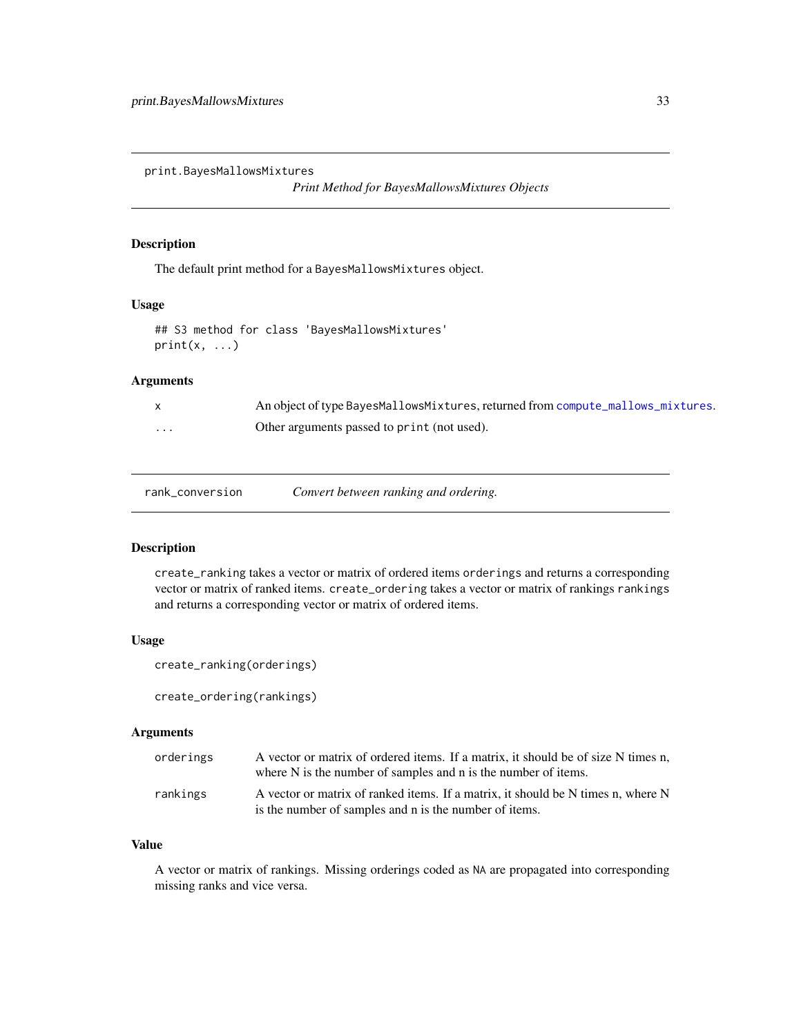<span id="page-32-0"></span>print.BayesMallowsMixtures

*Print Method for BayesMallowsMixtures Objects*

#### Description

The default print method for a BayesMallowsMixtures object.

#### Usage

```
## S3 method for class 'BayesMallowsMixtures'
print(x, \ldots)
```
#### Arguments

|          | An object of type BayesMallowsMixtures, returned from compute_mallows_mixtures. |
|----------|---------------------------------------------------------------------------------|
| $\cdots$ | Other arguments passed to print (not used).                                     |

#### <span id="page-32-1"></span>Description

create\_ranking takes a vector or matrix of ordered items orderings and returns a corresponding vector or matrix of ranked items. create\_ordering takes a vector or matrix of rankings rankings and returns a corresponding vector or matrix of ordered items.

#### Usage

```
create_ranking(orderings)
```
create\_ordering(rankings)

#### Arguments

| orderings | A vector or matrix of ordered items. If a matrix, it should be of size N times n,<br>where N is the number of samples and n is the number of items. |
|-----------|-----------------------------------------------------------------------------------------------------------------------------------------------------|
| rankings  | A vector or matrix of ranked items. If a matrix, it should be N times n, where N<br>is the number of samples and n is the number of items.          |

#### Value

A vector or matrix of rankings. Missing orderings coded as NA are propagated into corresponding missing ranks and vice versa.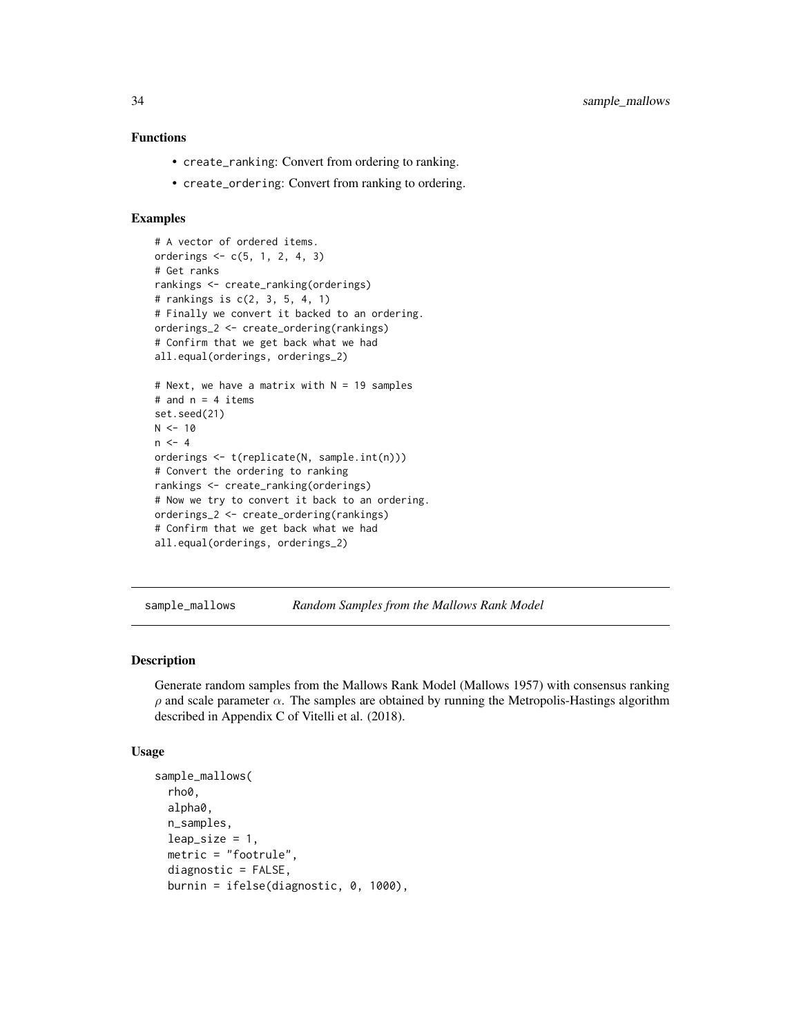#### <span id="page-33-0"></span>Functions

- create\_ranking: Convert from ordering to ranking.
- create\_ordering: Convert from ranking to ordering.

#### Examples

```
# A vector of ordered items.
orderings <- c(5, 1, 2, 4, 3)
# Get ranks
rankings <- create_ranking(orderings)
# rankings is c(2, 3, 5, 4, 1)
# Finally we convert it backed to an ordering.
orderings_2 <- create_ordering(rankings)
# Confirm that we get back what we had
all.equal(orderings, orderings_2)
# Next, we have a matrix with N = 19 samples
# and n = 4 items
set.seed(21)
N < -10n < -4orderings <- t(replicate(N, sample.int(n)))
# Convert the ordering to ranking
rankings <- create_ranking(orderings)
# Now we try to convert it back to an ordering.
orderings_2 <- create_ordering(rankings)
# Confirm that we get back what we had
all.equal(orderings, orderings_2)
```
sample\_mallows *Random Samples from the Mallows Rank Model*

#### **Description**

Generate random samples from the Mallows Rank Model (Mallows 1957) with consensus ranking  $\rho$  and scale parameter  $\alpha$ . The samples are obtained by running the Metropolis-Hastings algorithm described in Appendix C of Vitelli et al. (2018).

#### Usage

```
sample_mallows(
 rho0,
 alpha0,
 n_samples,
 leap_size = 1,
 metric = "footrule",
 diagnostic = FALSE,
 burnin = ifelse(diagnostic, 0, 1000),
```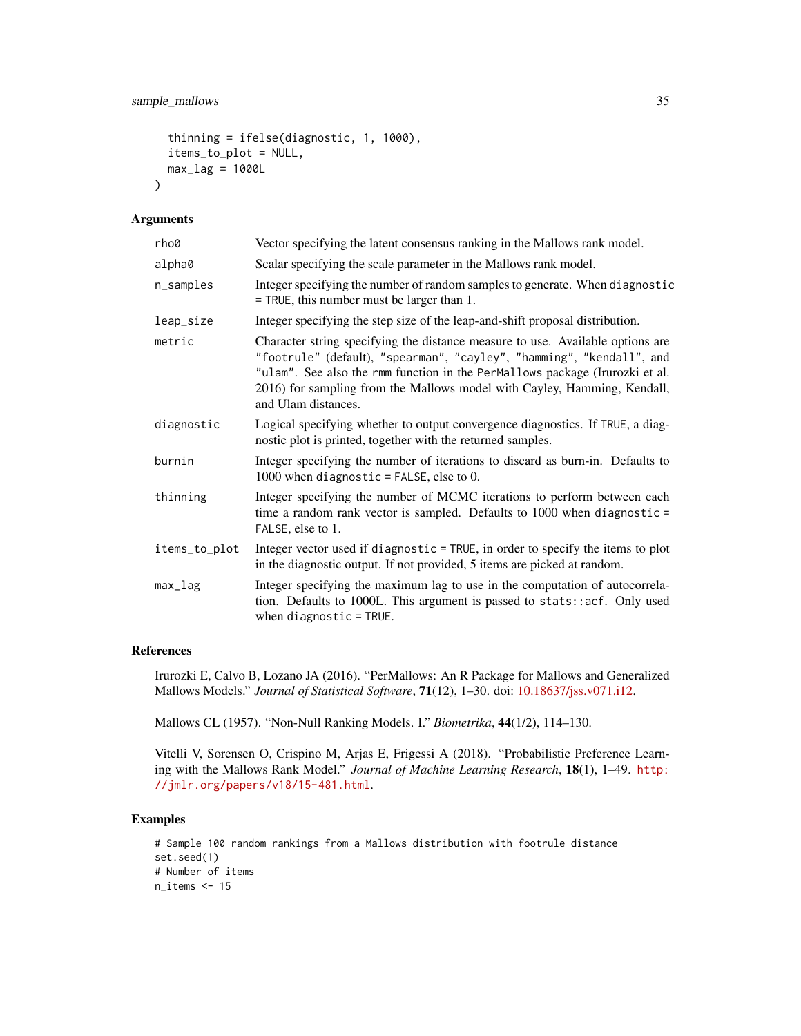```
thinning = ifelse(diagnostic, 1, 1000),
items_to_plot = NULL,
max\_lag = 1000L
```
#### Arguments

 $\lambda$ 

| rho0          | Vector specifying the latent consensus ranking in the Mallows rank model.                                                                                                                                                                                                                                                                  |
|---------------|--------------------------------------------------------------------------------------------------------------------------------------------------------------------------------------------------------------------------------------------------------------------------------------------------------------------------------------------|
| alpha0        | Scalar specifying the scale parameter in the Mallows rank model.                                                                                                                                                                                                                                                                           |
| n_samples     | Integer specifying the number of random samples to generate. When diagnostic<br>$=$ TRUE, this number must be larger than 1.                                                                                                                                                                                                               |
| leap_size     | Integer specifying the step size of the leap-and-shift proposal distribution.                                                                                                                                                                                                                                                              |
| metric        | Character string specifying the distance measure to use. Available options are<br>"footrule" (default), "spearman", "cayley", "hamming", "kendall", and<br>"ulam". See also the rmm function in the PerMallows package (Irurozki et al.<br>2016) for sampling from the Mallows model with Cayley, Hamming, Kendall,<br>and Ulam distances. |
| diagnostic    | Logical specifying whether to output convergence diagnostics. If TRUE, a diag-<br>nostic plot is printed, together with the returned samples.                                                                                                                                                                                              |
| burnin        | Integer specifying the number of iterations to discard as burn-in. Defaults to<br>1000 when diagnostic = FALSE, else to 0.                                                                                                                                                                                                                 |
| thinning      | Integer specifying the number of MCMC iterations to perform between each<br>time a random rank vector is sampled. Defaults to $1000$ when diagnostic =<br>FALSE, else to 1.                                                                                                                                                                |
| items_to_plot | Integer vector used if diagnostic = TRUE, in order to specify the items to plot<br>in the diagnostic output. If not provided, 5 items are picked at random.                                                                                                                                                                                |
| max_lag       | Integer specifying the maximum lag to use in the computation of autocorrela-<br>tion. Defaults to 1000L. This argument is passed to stats::acf. Only used<br>when $diagnostic = TRUE$ .                                                                                                                                                    |

#### References

Irurozki E, Calvo B, Lozano JA (2016). "PerMallows: An R Package for Mallows and Generalized Mallows Models." *Journal of Statistical Software*, 71(12), 1–30. doi: [10.18637/jss.v071.i12.](https://doi.org/10.18637/jss.v071.i12)

Mallows CL (1957). "Non-Null Ranking Models. I." *Biometrika*, 44(1/2), 114–130.

Vitelli V, Sorensen O, Crispino M, Arjas E, Frigessi A (2018). "Probabilistic Preference Learning with the Mallows Rank Model." *Journal of Machine Learning Research*, 18(1), 1–49. [http:](http://jmlr.org/papers/v18/15-481.html) [//jmlr.org/papers/v18/15-481.html](http://jmlr.org/papers/v18/15-481.html).

```
# Sample 100 random rankings from a Mallows distribution with footrule distance
set.seed(1)
# Number of items
n_items <- 15
```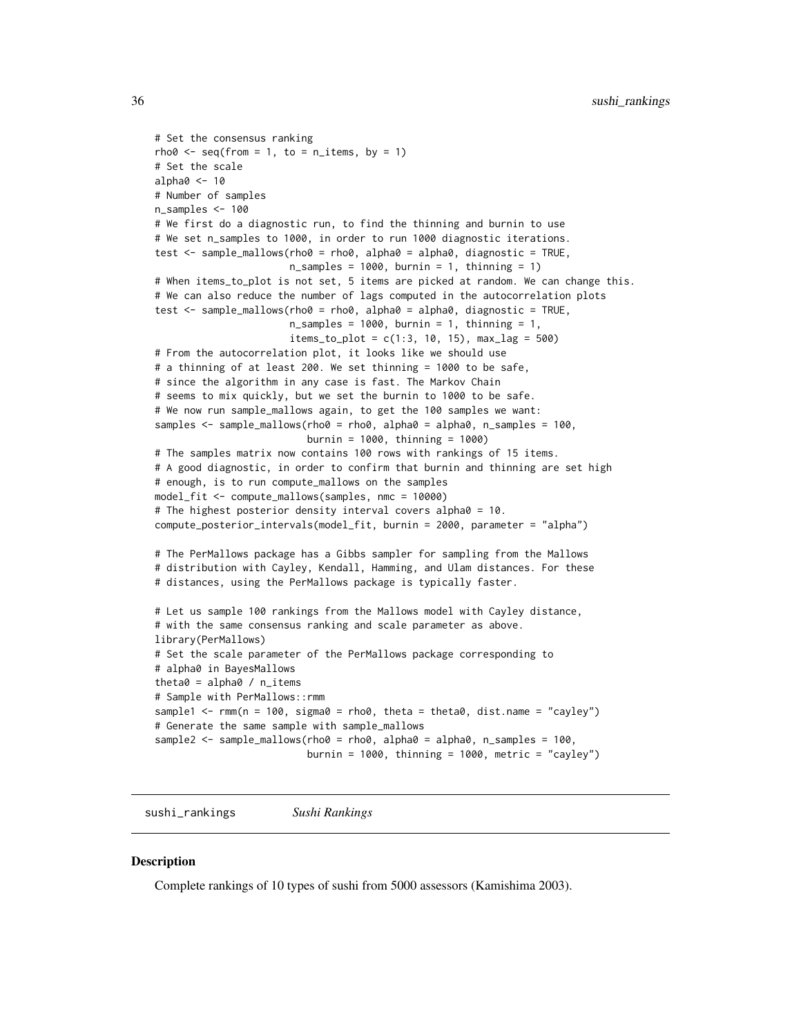```
# Set the consensus ranking
rho0 \leq -\text{seq}(\text{from} = 1, \text{to} = \text{n}_\text{times}, \text{by} = 1)# Set the scale
alpha0 < -10# Number of samples
n_samples <- 100
# We first do a diagnostic run, to find the thinning and burnin to use
# We set n_samples to 1000, in order to run 1000 diagnostic iterations.
test \le sample_mallows(rho0 = rho0, alpha0 = alpha0, diagnostic = TRUE,
                       n_samples = 1000, burnin = 1, thinning = 1)
# When items_to_plot is not set, 5 items are picked at random. We can change this.
# We can also reduce the number of lags computed in the autocorrelation plots
test <- sample_mallows(rho0 = rho0, alpha0 = alpha0, diagnostic = TRUE,
                       n_samples = 1000, burnin = 1, thinning = 1,
                       items_to.plot = c(1:3, 10, 15), maxy2ag = 500# From the autocorrelation plot, it looks like we should use
# a thinning of at least 200. We set thinning = 1000 to be safe,
# since the algorithm in any case is fast. The Markov Chain
# seems to mix quickly, but we set the burnin to 1000 to be safe.
# We now run sample_mallows again, to get the 100 samples we want:
samples <- sample_mallows(rho0 = rho0, alpha0 = alpha0, n_samples = 100,
                          burnin = 1000, thinning = 1000)
# The samples matrix now contains 100 rows with rankings of 15 items.
# A good diagnostic, in order to confirm that burnin and thinning are set high
# enough, is to run compute_mallows on the samples
model_fit <- compute_mallows(samples, nmc = 10000)
# The highest posterior density interval covers alpha0 = 10.
compute_posterior_intervals(model_fit, burnin = 2000, parameter = "alpha")
# The PerMallows package has a Gibbs sampler for sampling from the Mallows
# distribution with Cayley, Kendall, Hamming, and Ulam distances. For these
# distances, using the PerMallows package is typically faster.
# Let us sample 100 rankings from the Mallows model with Cayley distance,
# with the same consensus ranking and scale parameter as above.
library(PerMallows)
# Set the scale parameter of the PerMallows package corresponding to
# alpha0 in BayesMallows
theta0 =alpha0 / n_items
# Sample with PerMallows::rmm
sample1 \leq rmm(n = 100, sigma0 = rho0, theta = theta0, dist.name = "cayley")
# Generate the same sample with sample_mallows
sample2 <- sample_mallows(rho0 = rho0, alpha0 = alpha0, n_samples = 100,
                          burnin = 1000, thinning = 1000, metric = "cayley")
```
sushi\_rankings *Sushi Rankings*

#### **Description**

Complete rankings of 10 types of sushi from 5000 assessors (Kamishima 2003).

<span id="page-35-0"></span>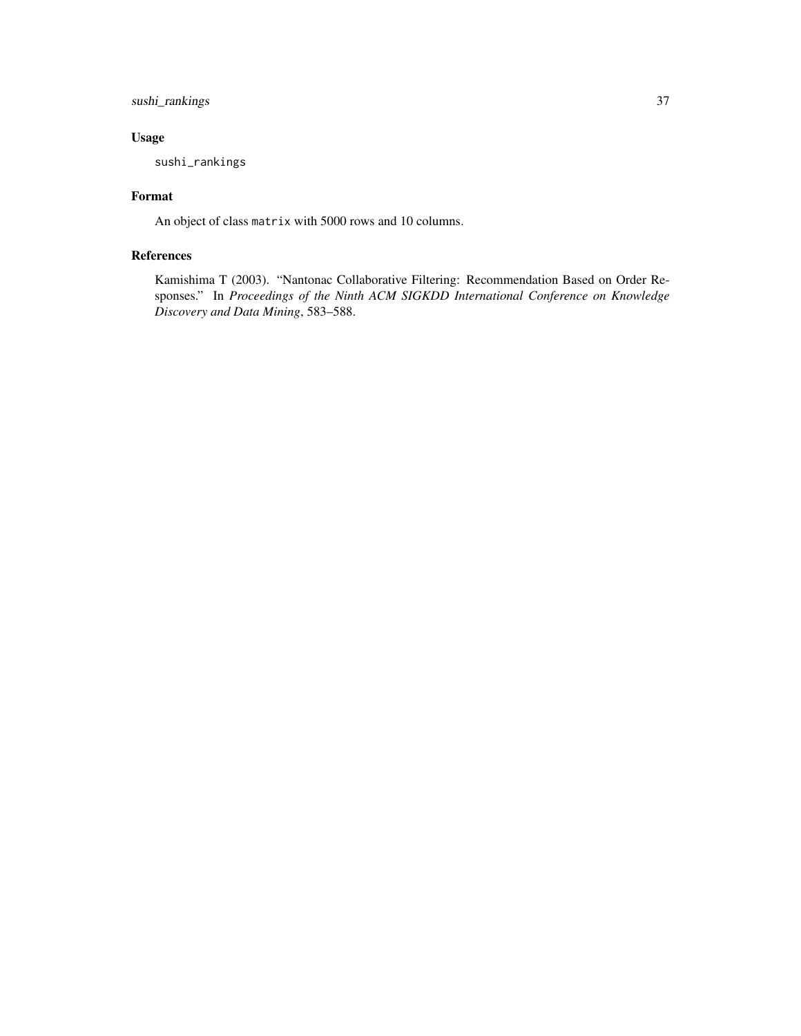#### sushi\_rankings 37

#### Usage

sushi\_rankings

#### Format

An object of class matrix with 5000 rows and 10 columns.

#### References

Kamishima T (2003). "Nantonac Collaborative Filtering: Recommendation Based on Order Responses." In *Proceedings of the Ninth ACM SIGKDD International Conference on Knowledge Discovery and Data Mining*, 583–588.